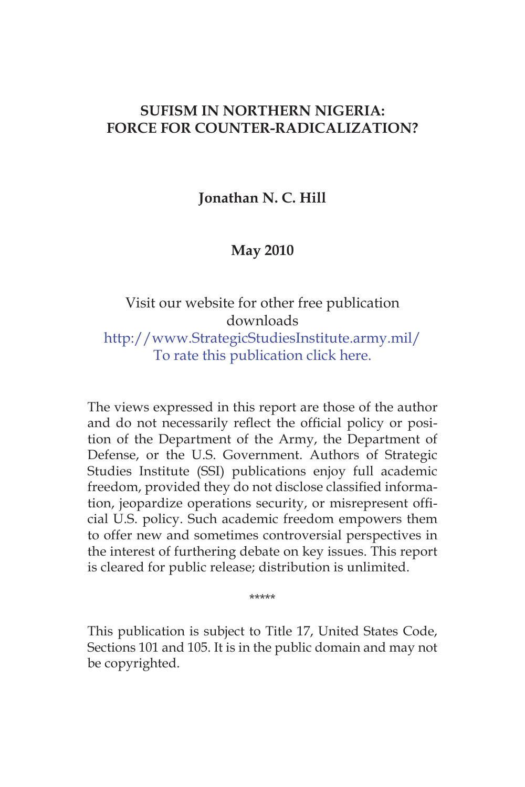### **SUFISM IN NORTHERN NIGERIA: FORCE FOR COUNTER-RADICALIZATION?**

**Jonathan N. C. Hill**

**May 2010**

# Visit our website for other free publication downloads http://www.StrategicStudiesInstitute.army.mil/ To rate this publication click here.

The views expressed in this report are those of the author and do not necessarily reflect the official policy or position of the Department of the Army, the Department of Defense, or the U.S. Government. Authors of Strategic Studies Institute (SSI) publications enjoy full academic freedom, provided they do not disclose classified information, jeopardize operations security, or misrepresent official U.S. policy. Such academic freedom empowers them to offer new and sometimes controversial perspectives in the interest of furthering debate on key issues. This report is cleared for public release; distribution is unlimited.

\*\*\*\*\*

This publication is subject to Title 17, United States Code, Sections 101 and 105. It is in the public domain and may not be copyrighted.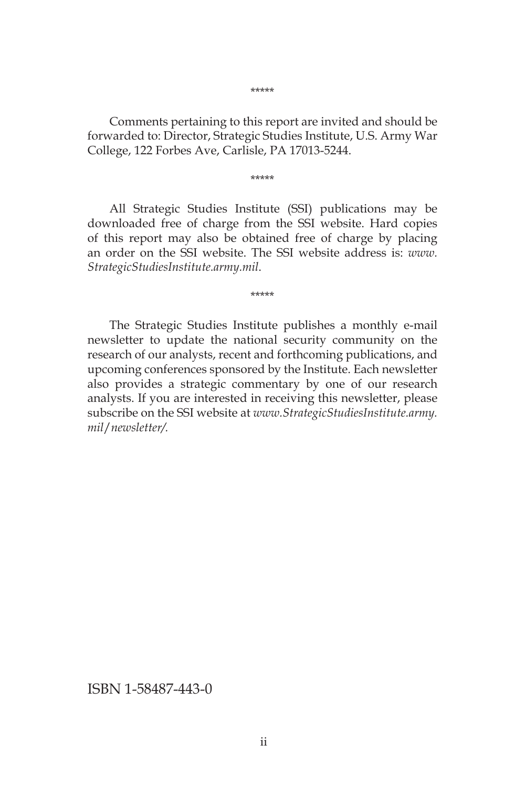Comments pertaining to this report are invited and should be forwarded to: Director, Strategic Studies Institute, U.S. Army War College, 122 Forbes Ave, Carlisle, PA 17013-5244.

\*\*\*\*\*

All Strategic Studies Institute (SSI) publications may be downloaded free of charge from the SSI website. Hard copies of this report may also be obtained free of charge by placing an order on the SSI website. The SSI website address is: *www. StrategicStudiesInstitute.army.mil*.

\*\*\*\*\*

The Strategic Studies Institute publishes a monthly e-mail newsletter to update the national security community on the research of our analysts, recent and forthcoming publications, and upcoming conferences sponsored by the Institute. Each newsletter also provides a strategic commentary by one of our research analysts. If you are interested in receiving this newsletter, please subscribe on the SSI website at *www.StrategicStudiesInstitute.army. mil*/*newsletter/.*

ISBN 1-58487-443-0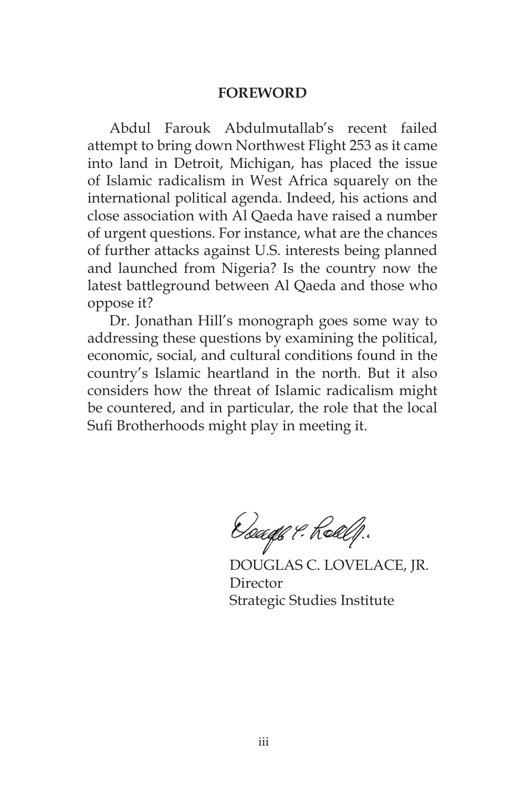#### **FOREWORD**

Abdul Farouk Abdulmutallab's recent failed attempt to bring down Northwest Flight 253 as it came into land in Detroit, Michigan, has placed the issue of Islamic radicalism in West Africa squarely on the international political agenda. Indeed, his actions and close association with Al Qaeda have raised a number of urgent questions. For instance, what are the chances of further attacks against U.S. interests being planned and launched from Nigeria? Is the country now the latest battleground between Al Qaeda and those who oppose it?

Dr. Jonathan Hill's monograph goes some way to addressing these questions by examining the political, economic, social, and cultural conditions found in the country's Islamic heartland in the north. But it also considers how the threat of Islamic radicalism might be countered, and in particular, the role that the local Sufi Brotherhoods might play in meeting it.

Osaaqe 9. Roll.f.

DOUGLAS C. LOVELACE, JR. Director Strategic Studies Institute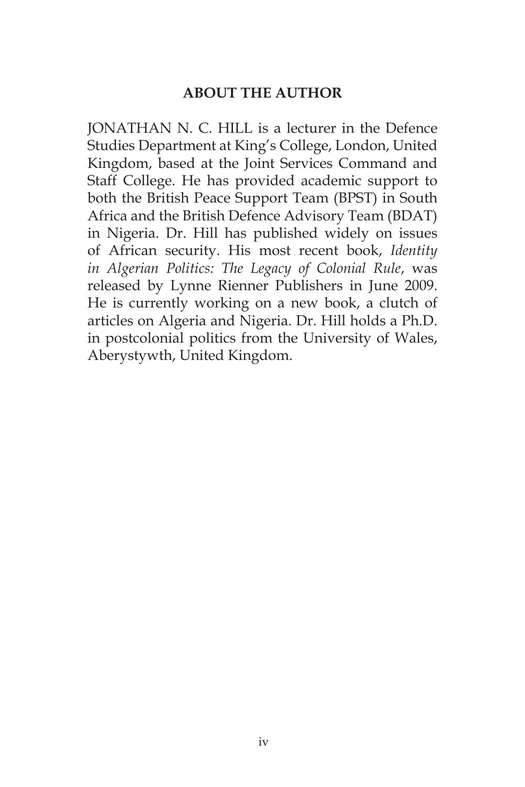## **ABOUT THE AUTHOR**

JONATHAN N. C. HILL is a lecturer in the Defence Studies Department at King's College, London, United Kingdom, based at the Joint Services Command and Staff College. He has provided academic support to both the British Peace Support Team (BPST) in South Africa and the British Defence Advisory Team (BDAT) in Nigeria. Dr. Hill has published widely on issues of African security. His most recent book, *Identity in Algerian Politics: The Legacy of Colonial Rule*, was released by Lynne Rienner Publishers in June 2009. He is currently working on a new book, a clutch of articles on Algeria and Nigeria. Dr. Hill holds a Ph.D. in postcolonial politics from the University of Wales, Aberystywth, United Kingdom.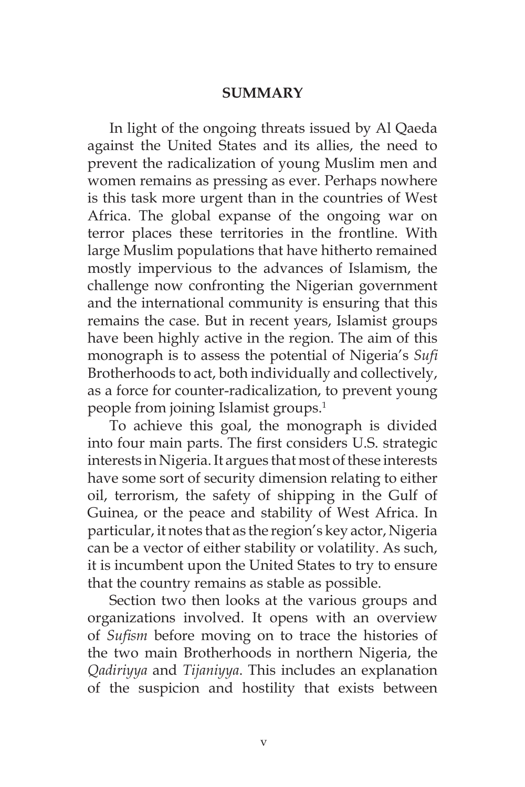#### **SUMMARY**

In light of the ongoing threats issued by Al Qaeda against the United States and its allies, the need to prevent the radicalization of young Muslim men and women remains as pressing as ever. Perhaps nowhere is this task more urgent than in the countries of West Africa. The global expanse of the ongoing war on terror places these territories in the frontline. With large Muslim populations that have hitherto remained mostly impervious to the advances of Islamism, the challenge now confronting the Nigerian government and the international community is ensuring that this remains the case. But in recent years, Islamist groups have been highly active in the region. The aim of this monograph is to assess the potential of Nigeria's *Sufi* Brotherhoods to act, both individually and collectively, as a force for counter-radicalization, to prevent young people from joining Islamist groups.1

To achieve this goal, the monograph is divided into four main parts. The first considers U.S. strategic interests in Nigeria. It argues that most of these interests have some sort of security dimension relating to either oil, terrorism, the safety of shipping in the Gulf of Guinea, or the peace and stability of West Africa. In particular, it notes that as the region's key actor, Nigeria can be a vector of either stability or volatility. As such, it is incumbent upon the United States to try to ensure that the country remains as stable as possible.

Section two then looks at the various groups and organizations involved. It opens with an overview of *Sufism* before moving on to trace the histories of the two main Brotherhoods in northern Nigeria, the *Qadiriyya* and *Tijaniyya*. This includes an explanation of the suspicion and hostility that exists between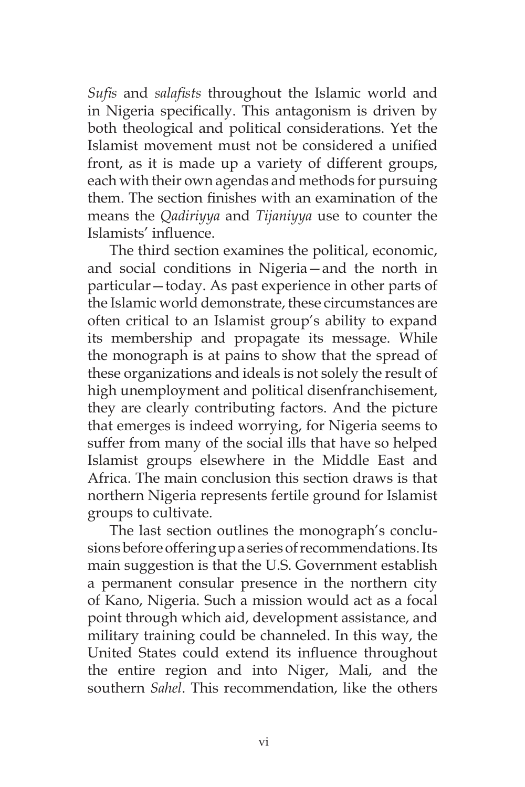*Sufis* and *salafists* throughout the Islamic world and in Nigeria specifically. This antagonism is driven by both theological and political considerations. Yet the Islamist movement must not be considered a unified front, as it is made up a variety of different groups, each with their own agendas and methods for pursuing them. The section finishes with an examination of the means the *Qadiriyya* and *Tijaniyya* use to counter the Islamists' influence.

The third section examines the political, economic, and social conditions in Nigeria—and the north in particular—today. As past experience in other parts of the Islamic world demonstrate, these circumstances are often critical to an Islamist group's ability to expand its membership and propagate its message. While the monograph is at pains to show that the spread of these organizations and ideals is not solely the result of high unemployment and political disenfranchisement, they are clearly contributing factors. And the picture that emerges is indeed worrying, for Nigeria seems to suffer from many of the social ills that have so helped Islamist groups elsewhere in the Middle East and Africa. The main conclusion this section draws is that northern Nigeria represents fertile ground for Islamist groups to cultivate.

The last section outlines the monograph's conclusions before offering up a series of recommendations. Its main suggestion is that the U.S. Government establish a permanent consular presence in the northern city of Kano, Nigeria. Such a mission would act as a focal point through which aid, development assistance, and military training could be channeled. In this way, the United States could extend its influence throughout the entire region and into Niger, Mali, and the southern *Sahel*. This recommendation, like the others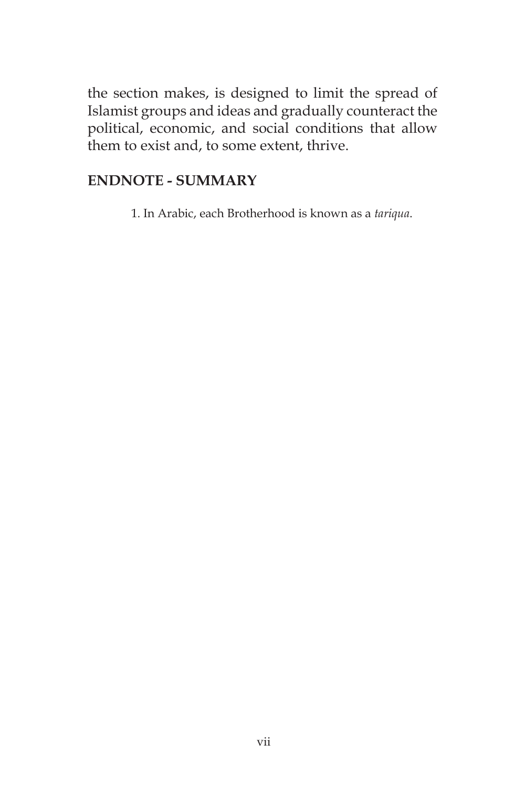the section makes, is designed to limit the spread of Islamist groups and ideas and gradually counteract the political, economic, and social conditions that allow them to exist and, to some extent, thrive.

## **ENDNOTE - SUMMARY**

1. In Arabic, each Brotherhood is known as a *tariqua*.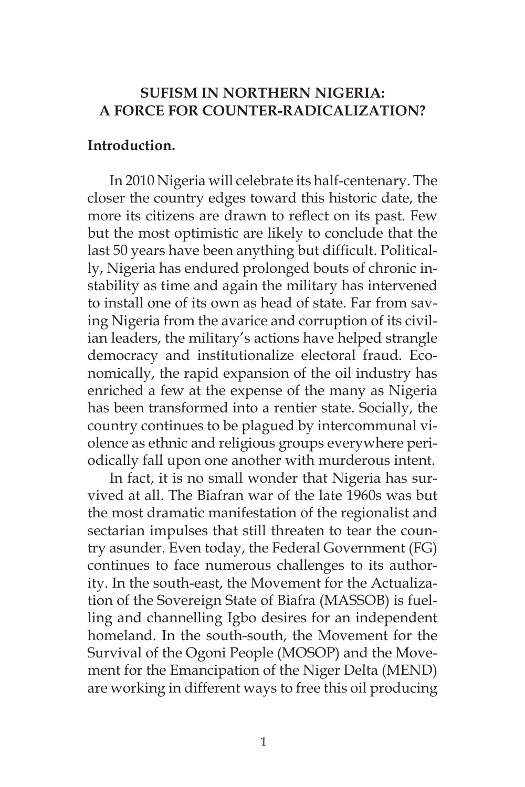### **SUFISM IN NORTHERN NIGERIA: A FORCE FOR COUNTER-RADICALIZATION?**

### **Introduction.**

In 2010 Nigeria will celebrate its half-centenary. The closer the country edges toward this historic date, the more its citizens are drawn to reflect on its past. Few but the most optimistic are likely to conclude that the last 50 years have been anything but difficult. Politically, Nigeria has endured prolonged bouts of chronic instability as time and again the military has intervened to install one of its own as head of state. Far from saving Nigeria from the avarice and corruption of its civilian leaders, the military's actions have helped strangle democracy and institutionalize electoral fraud. Economically, the rapid expansion of the oil industry has enriched a few at the expense of the many as Nigeria has been transformed into a rentier state. Socially, the country continues to be plagued by intercommunal violence as ethnic and religious groups everywhere periodically fall upon one another with murderous intent.

In fact, it is no small wonder that Nigeria has survived at all. The Biafran war of the late 1960s was but the most dramatic manifestation of the regionalist and sectarian impulses that still threaten to tear the country asunder. Even today, the Federal Government (FG) continues to face numerous challenges to its authority. In the south-east, the Movement for the Actualization of the Sovereign State of Biafra (MASSOB) is fuelling and channelling Igbo desires for an independent homeland. In the south-south, the Movement for the Survival of the Ogoni People (MOSOP) and the Movement for the Emancipation of the Niger Delta (MEND) are working in different ways to free this oil producing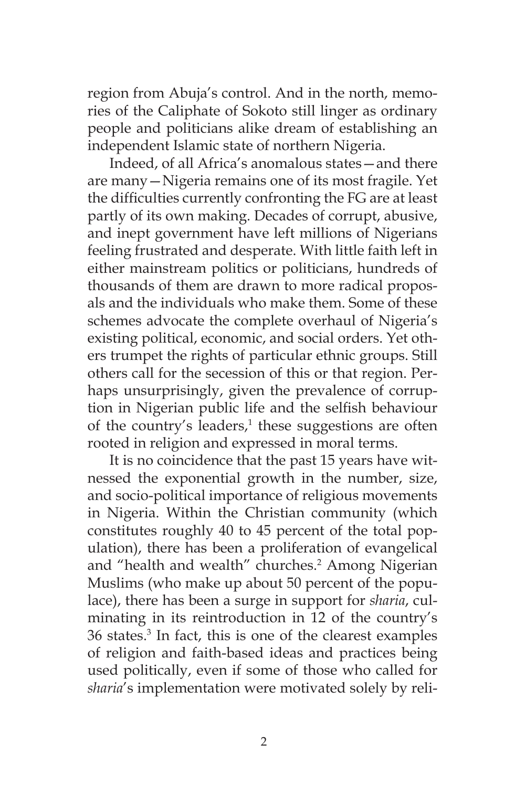region from Abuja's control. And in the north, memories of the Caliphate of Sokoto still linger as ordinary people and politicians alike dream of establishing an independent Islamic state of northern Nigeria.

Indeed, of all Africa's anomalous states—and there are many—Nigeria remains one of its most fragile. Yet the difficulties currently confronting the FG are at least partly of its own making. Decades of corrupt, abusive, and inept government have left millions of Nigerians feeling frustrated and desperate. With little faith left in either mainstream politics or politicians, hundreds of thousands of them are drawn to more radical proposals and the individuals who make them. Some of these schemes advocate the complete overhaul of Nigeria's existing political, economic, and social orders. Yet others trumpet the rights of particular ethnic groups. Still others call for the secession of this or that region. Perhaps unsurprisingly, given the prevalence of corruption in Nigerian public life and the selfish behaviour of the country's leaders,<sup>1</sup> these suggestions are often rooted in religion and expressed in moral terms.

It is no coincidence that the past 15 years have witnessed the exponential growth in the number, size, and socio-political importance of religious movements in Nigeria. Within the Christian community (which constitutes roughly 40 to 45 percent of the total population), there has been a proliferation of evangelical and "health and wealth" churches.<sup>2</sup> Among Nigerian Muslims (who make up about 50 percent of the populace), there has been a surge in support for *sharia*, culminating in its reintroduction in 12 of the country's 36 states.3 In fact, this is one of the clearest examples of religion and faith-based ideas and practices being used politically, even if some of those who called for *sharia*'s implementation were motivated solely by reli-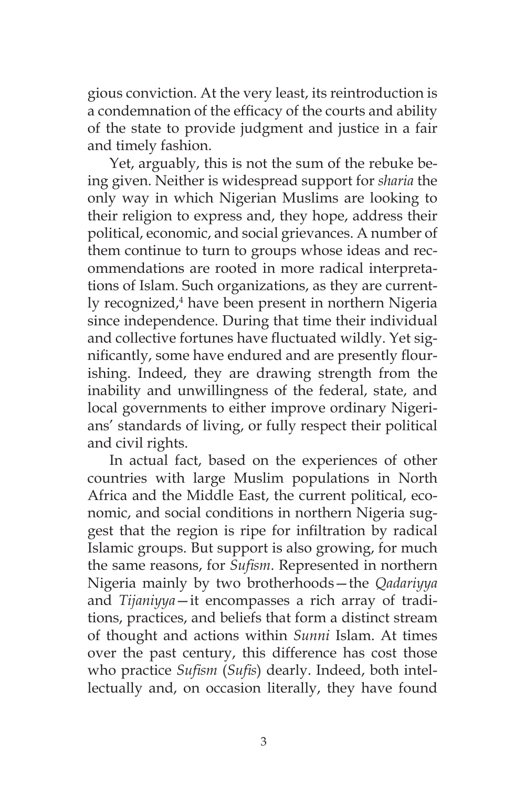gious conviction. At the very least, its reintroduction is a condemnation of the efficacy of the courts and ability of the state to provide judgment and justice in a fair and timely fashion.

Yet, arguably, this is not the sum of the rebuke being given. Neither is widespread support for *sharia* the only way in which Nigerian Muslims are looking to their religion to express and, they hope, address their political, economic, and social grievances. A number of them continue to turn to groups whose ideas and recommendations are rooted in more radical interpretations of Islam. Such organizations, as they are currently recognized,<sup>4</sup> have been present in northern Nigeria since independence. During that time their individual and collective fortunes have fluctuated wildly. Yet significantly, some have endured and are presently flourishing. Indeed, they are drawing strength from the inability and unwillingness of the federal, state, and local governments to either improve ordinary Nigerians' standards of living, or fully respect their political and civil rights.

In actual fact, based on the experiences of other countries with large Muslim populations in North Africa and the Middle East, the current political, economic, and social conditions in northern Nigeria suggest that the region is ripe for infiltration by radical Islamic groups. But support is also growing, for much the same reasons, for *Sufism*. Represented in northern Nigeria mainly by two brotherhoods—the *Qadariyya* and *Tijaniyya*—it encompasses a rich array of traditions, practices, and beliefs that form a distinct stream of thought and actions within *Sunni* Islam. At times over the past century, this difference has cost those who practice *Sufism* (*Sufis*) dearly. Indeed, both intellectually and, on occasion literally, they have found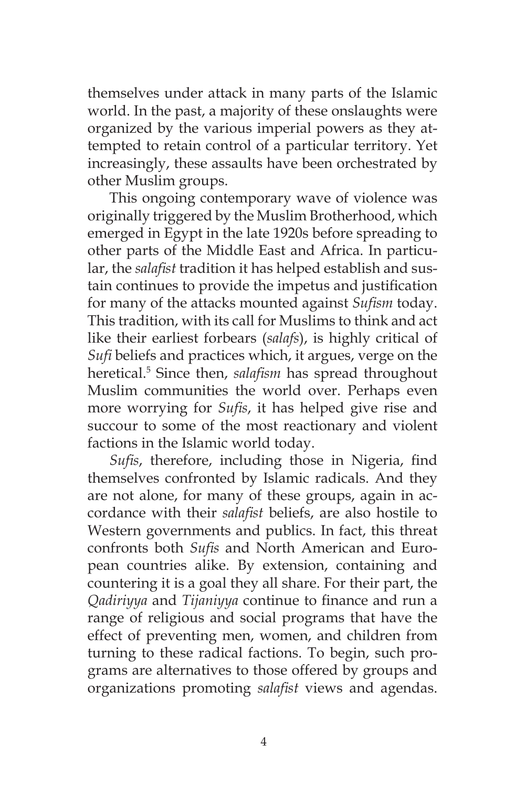themselves under attack in many parts of the Islamic world. In the past, a majority of these onslaughts were organized by the various imperial powers as they attempted to retain control of a particular territory. Yet increasingly, these assaults have been orchestrated by other Muslim groups.

This ongoing contemporary wave of violence was originally triggered by the Muslim Brotherhood, which emerged in Egypt in the late 1920s before spreading to other parts of the Middle East and Africa. In particular, the *salafist* tradition it has helped establish and sustain continues to provide the impetus and justification for many of the attacks mounted against *Sufism* today. This tradition, with its call for Muslims to think and act like their earliest forbears (*salafs*), is highly critical of *Sufi* beliefs and practices which, it argues, verge on the heretical.5 Since then, *salafism* has spread throughout Muslim communities the world over. Perhaps even more worrying for *Sufis*, it has helped give rise and succour to some of the most reactionary and violent factions in the Islamic world today.

*Sufis*, therefore, including those in Nigeria, find themselves confronted by Islamic radicals. And they are not alone, for many of these groups, again in accordance with their *salafist* beliefs, are also hostile to Western governments and publics. In fact, this threat confronts both *Sufis* and North American and European countries alike. By extension, containing and countering it is a goal they all share. For their part, the *Qadiriyya* and *Tijaniyya* continue to finance and run a range of religious and social programs that have the effect of preventing men, women, and children from turning to these radical factions. To begin, such programs are alternatives to those offered by groups and organizations promoting *salafist* views and agendas.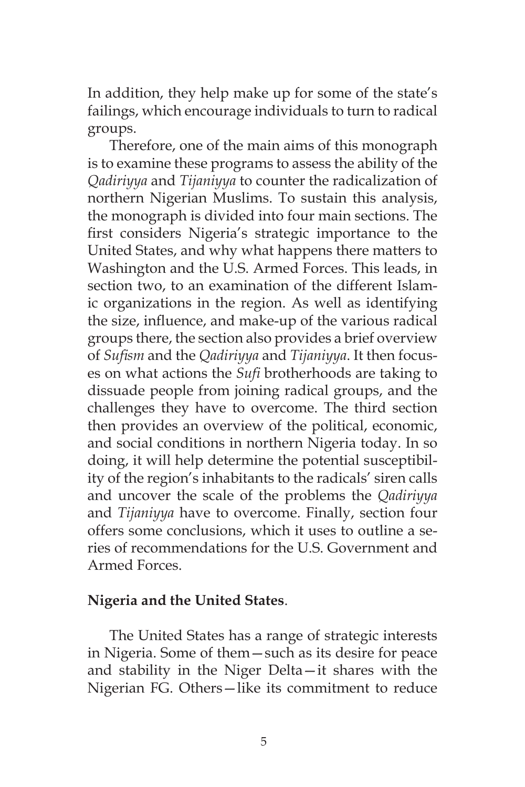In addition, they help make up for some of the state's failings, which encourage individuals to turn to radical groups.

Therefore, one of the main aims of this monograph is to examine these programs to assess the ability of the *Qadiriyya* and *Tijaniyya* to counter the radicalization of northern Nigerian Muslims. To sustain this analysis, the monograph is divided into four main sections. The first considers Nigeria's strategic importance to the United States, and why what happens there matters to Washington and the U.S. Armed Forces. This leads, in section two, to an examination of the different Islamic organizations in the region. As well as identifying the size, influence, and make-up of the various radical groups there, the section also provides a brief overview of *Sufism* and the *Qadiriyya* and *Tijaniyya*. It then focuses on what actions the *Sufi* brotherhoods are taking to dissuade people from joining radical groups, and the challenges they have to overcome. The third section then provides an overview of the political, economic, and social conditions in northern Nigeria today. In so doing, it will help determine the potential susceptibility of the region's inhabitants to the radicals' siren calls and uncover the scale of the problems the *Qadiriyya* and *Tijaniyya* have to overcome. Finally, section four offers some conclusions, which it uses to outline a series of recommendations for the U.S. Government and Armed Forces.

### **Nigeria and the United States**.

The United States has a range of strategic interests in Nigeria. Some of them—such as its desire for peace and stability in the Niger Delta—it shares with the Nigerian FG. Others—like its commitment to reduce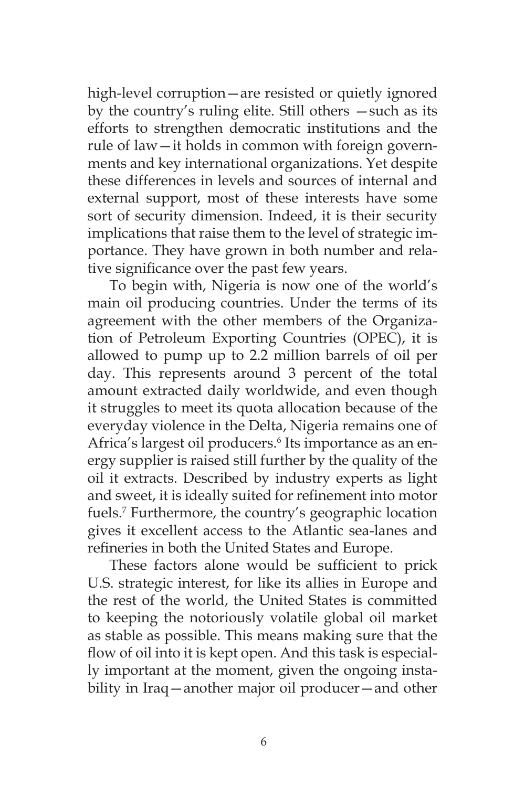high-level corruption—are resisted or quietly ignored by the country's ruling elite. Still others —such as its efforts to strengthen democratic institutions and the rule of law—it holds in common with foreign governments and key international organizations. Yet despite these differences in levels and sources of internal and external support, most of these interests have some sort of security dimension. Indeed, it is their security implications that raise them to the level of strategic importance. They have grown in both number and relative significance over the past few years.

To begin with, Nigeria is now one of the world's main oil producing countries. Under the terms of its agreement with the other members of the Organization of Petroleum Exporting Countries (OPEC), it is allowed to pump up to 2.2 million barrels of oil per day. This represents around 3 percent of the total amount extracted daily worldwide, and even though it struggles to meet its quota allocation because of the everyday violence in the Delta, Nigeria remains one of Africa's largest oil producers.<sup>6</sup> Its importance as an energy supplier is raised still further by the quality of the oil it extracts. Described by industry experts as light and sweet, it is ideally suited for refinement into motor fuels.7 Furthermore, the country's geographic location gives it excellent access to the Atlantic sea-lanes and refineries in both the United States and Europe.

These factors alone would be sufficient to prick U.S. strategic interest, for like its allies in Europe and the rest of the world, the United States is committed to keeping the notoriously volatile global oil market as stable as possible. This means making sure that the flow of oil into it is kept open. And this task is especially important at the moment, given the ongoing instability in Iraq—another major oil producer—and other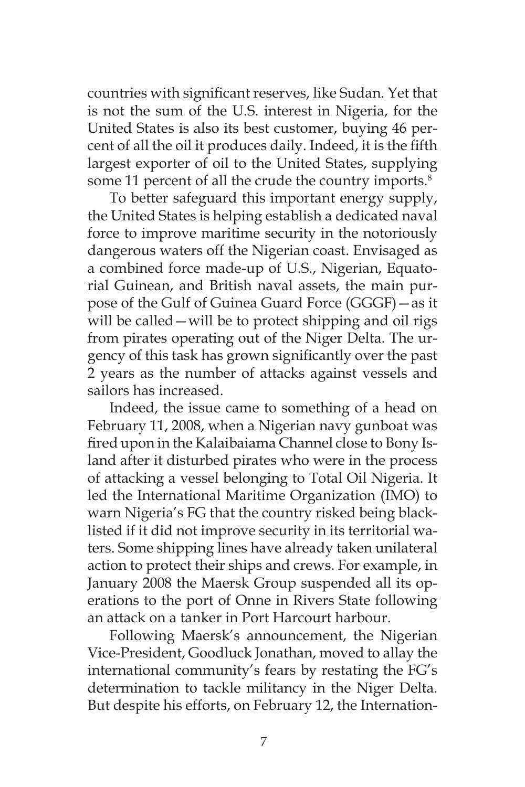countries with significant reserves, like Sudan. Yet that is not the sum of the U.S. interest in Nigeria, for the United States is also its best customer, buying 46 percent of all the oil it produces daily. Indeed, it is the fifth largest exporter of oil to the United States, supplying some 11 percent of all the crude the country imports.<sup>8</sup>

To better safeguard this important energy supply, the United States is helping establish a dedicated naval force to improve maritime security in the notoriously dangerous waters off the Nigerian coast. Envisaged as a combined force made-up of U.S., Nigerian, Equatorial Guinean, and British naval assets, the main purpose of the Gulf of Guinea Guard Force (GGGF)—as it will be called — will be to protect shipping and oil rigs from pirates operating out of the Niger Delta. The urgency of this task has grown significantly over the past 2 years as the number of attacks against vessels and sailors has increased.

Indeed, the issue came to something of a head on February 11, 2008, when a Nigerian navy gunboat was fired upon in the Kalaibaiama Channel close to Bony Island after it disturbed pirates who were in the process of attacking a vessel belonging to Total Oil Nigeria. It led the International Maritime Organization (IMO) to warn Nigeria's FG that the country risked being blacklisted if it did not improve security in its territorial waters. Some shipping lines have already taken unilateral action to protect their ships and crews. For example, in January 2008 the Maersk Group suspended all its operations to the port of Onne in Rivers State following an attack on a tanker in Port Harcourt harbour.

Following Maersk's announcement, the Nigerian Vice-President, Goodluck Jonathan, moved to allay the international community's fears by restating the FG's determination to tackle militancy in the Niger Delta. But despite his efforts, on February 12, the Internation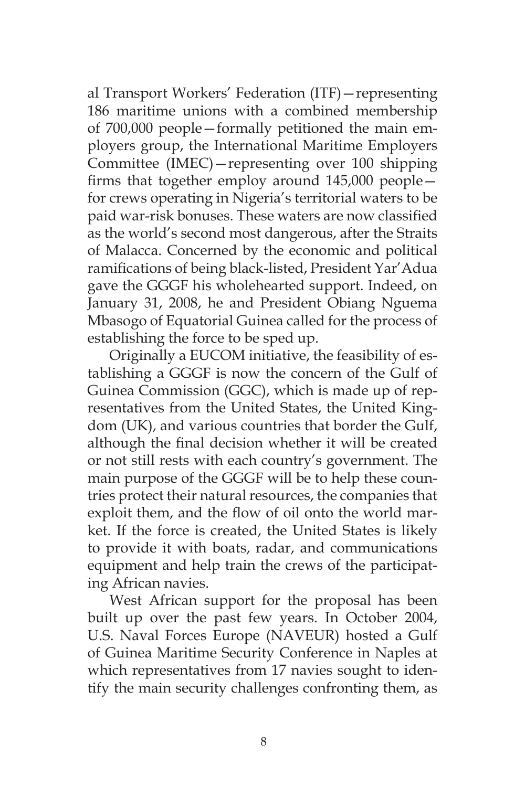al Transport Workers' Federation (ITF)—representing 186 maritime unions with a combined membership of 700,000 people—formally petitioned the main employers group, the International Maritime Employers Committee (IMEC)—representing over 100 shipping firms that together employ around 145,000 people for crews operating in Nigeria's territorial waters to be paid war-risk bonuses. These waters are now classified as the world's second most dangerous, after the Straits of Malacca. Concerned by the economic and political ramifications of being black-listed, President Yar'Adua gave the GGGF his wholehearted support. Indeed, on January 31, 2008, he and President Obiang Nguema Mbasogo of Equatorial Guinea called for the process of establishing the force to be sped up.

Originally a EUCOM initiative, the feasibility of establishing a GGGF is now the concern of the Gulf of Guinea Commission (GGC), which is made up of representatives from the United States, the United Kingdom (UK), and various countries that border the Gulf, although the final decision whether it will be created or not still rests with each country's government. The main purpose of the GGGF will be to help these countries protect their natural resources, the companies that exploit them, and the flow of oil onto the world market. If the force is created, the United States is likely to provide it with boats, radar, and communications equipment and help train the crews of the participating African navies.

West African support for the proposal has been built up over the past few years. In October 2004, U.S. Naval Forces Europe (NAVEUR) hosted a Gulf of Guinea Maritime Security Conference in Naples at which representatives from 17 navies sought to identify the main security challenges confronting them, as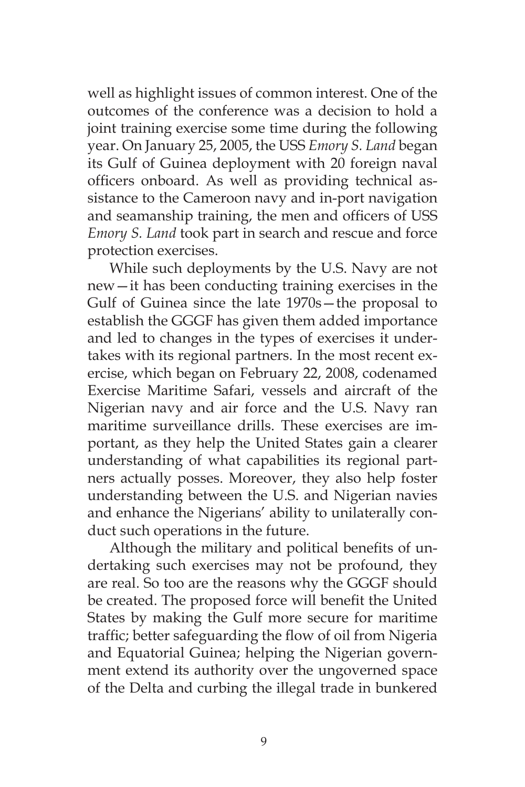well as highlight issues of common interest. One of the outcomes of the conference was a decision to hold a joint training exercise some time during the following year. On January 25, 2005, the USS *Emory S. Land* began its Gulf of Guinea deployment with 20 foreign naval officers onboard. As well as providing technical assistance to the Cameroon navy and in-port navigation and seamanship training, the men and officers of USS *Emory S. Land* took part in search and rescue and force protection exercises.

While such deployments by the U.S. Navy are not new—it has been conducting training exercises in the Gulf of Guinea since the late 1970s—the proposal to establish the GGGF has given them added importance and led to changes in the types of exercises it undertakes with its regional partners. In the most recent exercise, which began on February 22, 2008, codenamed Exercise Maritime Safari, vessels and aircraft of the Nigerian navy and air force and the U.S. Navy ran maritime surveillance drills. These exercises are important, as they help the United States gain a clearer understanding of what capabilities its regional partners actually posses. Moreover, they also help foster understanding between the U.S. and Nigerian navies and enhance the Nigerians' ability to unilaterally conduct such operations in the future.

Although the military and political benefits of undertaking such exercises may not be profound, they are real. So too are the reasons why the GGGF should be created. The proposed force will benefit the United States by making the Gulf more secure for maritime traffic; better safeguarding the flow of oil from Nigeria and Equatorial Guinea; helping the Nigerian government extend its authority over the ungoverned space of the Delta and curbing the illegal trade in bunkered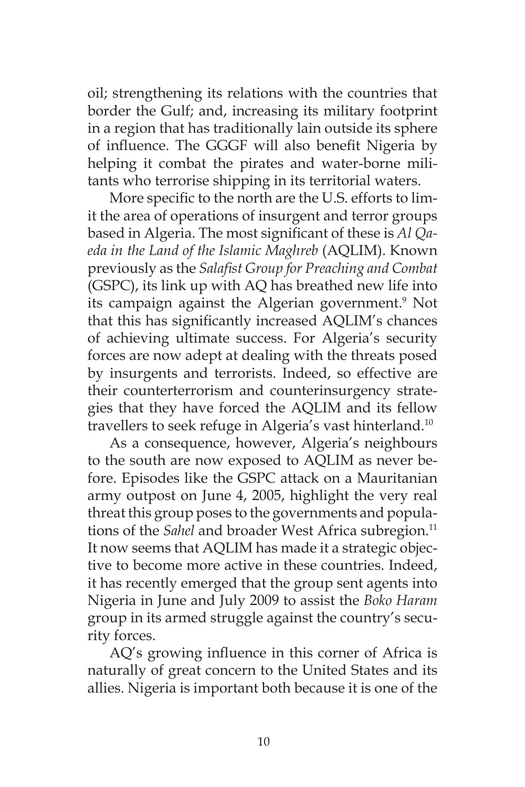oil; strengthening its relations with the countries that border the Gulf; and, increasing its military footprint in a region that has traditionally lain outside its sphere of influence. The GGGF will also benefit Nigeria by helping it combat the pirates and water-borne militants who terrorise shipping in its territorial waters.

More specific to the north are the U.S. efforts to limit the area of operations of insurgent and terror groups based in Algeria. The most significant of these is *Al Qaeda in the Land of the Islamic Maghreb* (AQLIM). Known previously as the *Salafist Group for Preaching and Combat* (GSPC), its link up with AQ has breathed new life into its campaign against the Algerian government.<sup>9</sup> Not that this has significantly increased AQLIM's chances of achieving ultimate success. For Algeria's security forces are now adept at dealing with the threats posed by insurgents and terrorists. Indeed, so effective are their counterterrorism and counterinsurgency strategies that they have forced the AQLIM and its fellow travellers to seek refuge in Algeria's vast hinterland.10

As a consequence, however, Algeria's neighbours to the south are now exposed to AQLIM as never before. Episodes like the GSPC attack on a Mauritanian army outpost on June 4, 2005, highlight the very real threat this group poses to the governments and populations of the *Sahel* and broader West Africa subregion.<sup>11</sup> It now seems that AQLIM has made it a strategic objective to become more active in these countries. Indeed, it has recently emerged that the group sent agents into Nigeria in June and July 2009 to assist the *Boko Haram* group in its armed struggle against the country's security forces.

AQ's growing influence in this corner of Africa is naturally of great concern to the United States and its allies. Nigeria is important both because it is one of the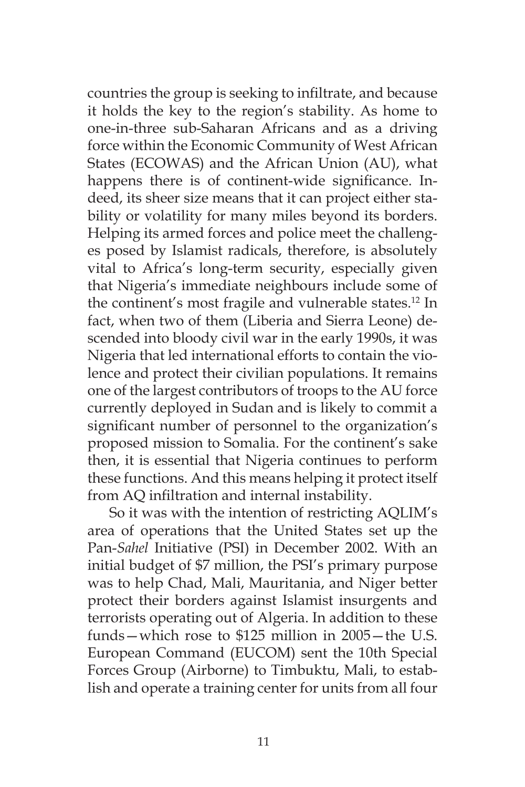countries the group is seeking to infiltrate, and because it holds the key to the region's stability. As home to one-in-three sub-Saharan Africans and as a driving force within the Economic Community of West African States (ECOWAS) and the African Union (AU), what happens there is of continent-wide significance. Indeed, its sheer size means that it can project either stability or volatility for many miles beyond its borders. Helping its armed forces and police meet the challenges posed by Islamist radicals, therefore, is absolutely vital to Africa's long-term security, especially given that Nigeria's immediate neighbours include some of the continent's most fragile and vulnerable states.<sup>12</sup> In fact, when two of them (Liberia and Sierra Leone) descended into bloody civil war in the early 1990s, it was Nigeria that led international efforts to contain the violence and protect their civilian populations. It remains one of the largest contributors of troops to the AU force currently deployed in Sudan and is likely to commit a significant number of personnel to the organization's proposed mission to Somalia. For the continent's sake then, it is essential that Nigeria continues to perform these functions. And this means helping it protect itself from AQ infiltration and internal instability.

So it was with the intention of restricting AQLIM's area of operations that the United States set up the Pan-*Sahel* Initiative (PSI) in December 2002. With an initial budget of \$7 million, the PSI's primary purpose was to help Chad, Mali, Mauritania, and Niger better protect their borders against Islamist insurgents and terrorists operating out of Algeria. In addition to these funds—which rose to \$125 million in 2005—the U.S. European Command (EUCOM) sent the 10th Special Forces Group (Airborne) to Timbuktu, Mali, to establish and operate a training center for units from all four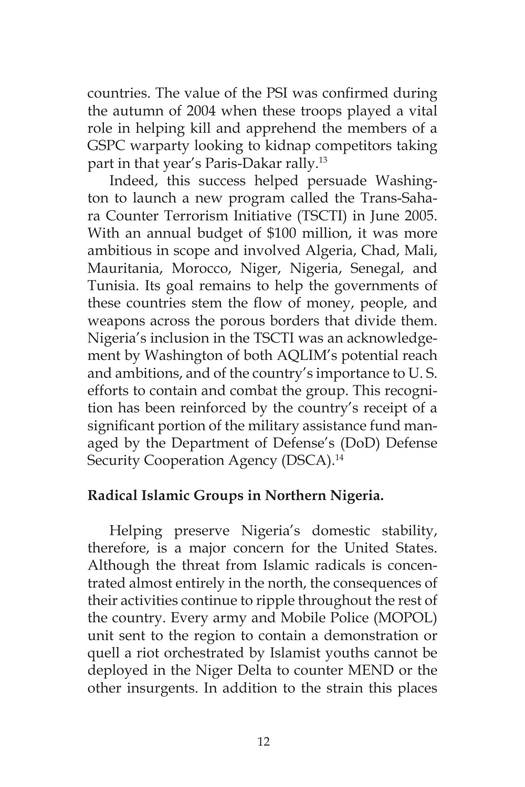countries. The value of the PSI was confirmed during the autumn of 2004 when these troops played a vital role in helping kill and apprehend the members of a GSPC warparty looking to kidnap competitors taking part in that year's Paris-Dakar rally.<sup>13</sup>

Indeed, this success helped persuade Washington to launch a new program called the Trans-Sahara Counter Terrorism Initiative (TSCTI) in June 2005. With an annual budget of \$100 million, it was more ambitious in scope and involved Algeria, Chad, Mali, Mauritania, Morocco, Niger, Nigeria, Senegal, and Tunisia. Its goal remains to help the governments of these countries stem the flow of money, people, and weapons across the porous borders that divide them. Nigeria's inclusion in the TSCTI was an acknowledgement by Washington of both AQLIM's potential reach and ambitions, and of the country's importance to U. S. efforts to contain and combat the group. This recognition has been reinforced by the country's receipt of a significant portion of the military assistance fund managed by the Department of Defense's (DoD) Defense Security Cooperation Agency (DSCA).<sup>14</sup>

### **Radical Islamic Groups in Northern Nigeria.**

Helping preserve Nigeria's domestic stability, therefore, is a major concern for the United States. Although the threat from Islamic radicals is concentrated almost entirely in the north, the consequences of their activities continue to ripple throughout the rest of the country. Every army and Mobile Police (MOPOL) unit sent to the region to contain a demonstration or quell a riot orchestrated by Islamist youths cannot be deployed in the Niger Delta to counter MEND or the other insurgents. In addition to the strain this places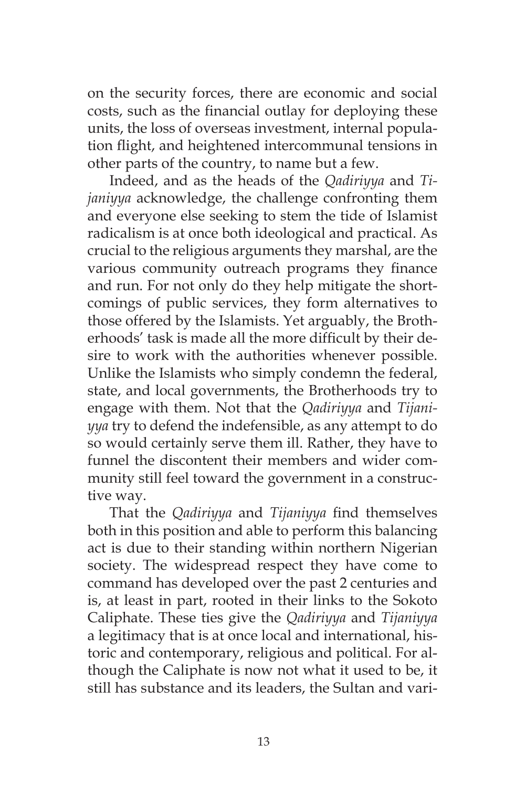on the security forces, there are economic and social costs, such as the financial outlay for deploying these units, the loss of overseas investment, internal population flight, and heightened intercommunal tensions in other parts of the country, to name but a few.

Indeed, and as the heads of the *Qadiriyya* and *Tijaniyya* acknowledge, the challenge confronting them and everyone else seeking to stem the tide of Islamist radicalism is at once both ideological and practical. As crucial to the religious arguments they marshal, are the various community outreach programs they finance and run. For not only do they help mitigate the shortcomings of public services, they form alternatives to those offered by the Islamists. Yet arguably, the Brotherhoods' task is made all the more difficult by their desire to work with the authorities whenever possible. Unlike the Islamists who simply condemn the federal, state, and local governments, the Brotherhoods try to engage with them. Not that the *Qadiriyya* and *Tijaniyya* try to defend the indefensible, as any attempt to do so would certainly serve them ill. Rather, they have to funnel the discontent their members and wider community still feel toward the government in a constructive way.

That the *Qadiriyya* and *Tijaniyya* find themselves both in this position and able to perform this balancing act is due to their standing within northern Nigerian society. The widespread respect they have come to command has developed over the past 2 centuries and is, at least in part, rooted in their links to the Sokoto Caliphate. These ties give the *Qadiriyya* and *Tijaniyya*  a legitimacy that is at once local and international, historic and contemporary, religious and political. For although the Caliphate is now not what it used to be, it still has substance and its leaders, the Sultan and vari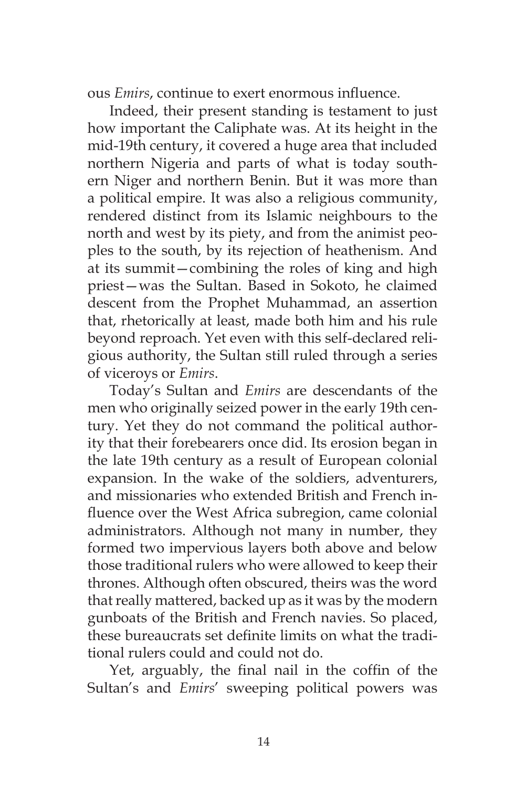ous *Emirs*, continue to exert enormous influence.

Indeed, their present standing is testament to just how important the Caliphate was. At its height in the mid-19th century, it covered a huge area that included northern Nigeria and parts of what is today southern Niger and northern Benin. But it was more than a political empire. It was also a religious community, rendered distinct from its Islamic neighbours to the north and west by its piety, and from the animist peoples to the south, by its rejection of heathenism. And at its summit—combining the roles of king and high priest—was the Sultan. Based in Sokoto, he claimed descent from the Prophet Muhammad, an assertion that, rhetorically at least, made both him and his rule beyond reproach. Yet even with this self-declared religious authority, the Sultan still ruled through a series of viceroys or *Emirs*.

Today's Sultan and *Emirs* are descendants of the men who originally seized power in the early 19th century. Yet they do not command the political authority that their forebearers once did. Its erosion began in the late 19th century as a result of European colonial expansion. In the wake of the soldiers, adventurers, and missionaries who extended British and French influence over the West Africa subregion, came colonial administrators. Although not many in number, they formed two impervious layers both above and below those traditional rulers who were allowed to keep their thrones. Although often obscured, theirs was the word that really mattered, backed up as it was by the modern gunboats of the British and French navies. So placed, these bureaucrats set definite limits on what the traditional rulers could and could not do.

Yet, arguably, the final nail in the coffin of the Sultan's and *Emirs*' sweeping political powers was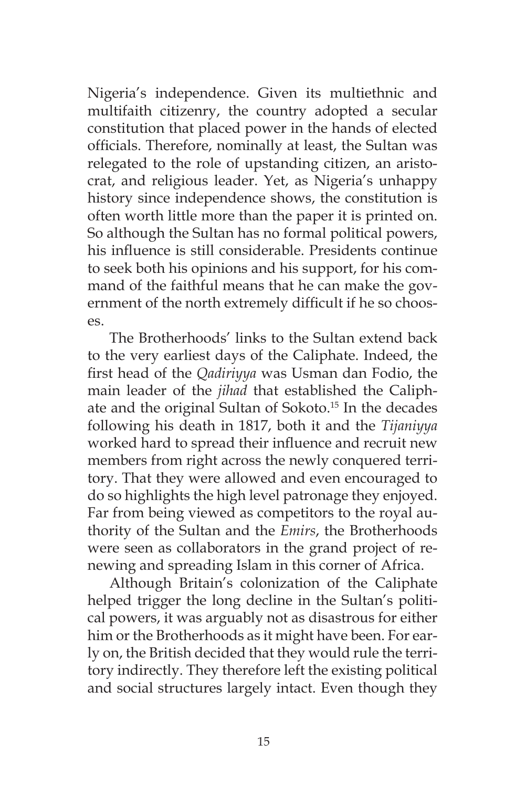Nigeria's independence. Given its multiethnic and multifaith citizenry, the country adopted a secular constitution that placed power in the hands of elected officials. Therefore, nominally at least, the Sultan was relegated to the role of upstanding citizen, an aristocrat, and religious leader. Yet, as Nigeria's unhappy history since independence shows, the constitution is often worth little more than the paper it is printed on. So although the Sultan has no formal political powers, his influence is still considerable. Presidents continue to seek both his opinions and his support, for his command of the faithful means that he can make the government of the north extremely difficult if he so chooses.

The Brotherhoods' links to the Sultan extend back to the very earliest days of the Caliphate. Indeed, the first head of the *Qadiriyya* was Usman dan Fodio, the main leader of the *jihad* that established the Caliphate and the original Sultan of Sokoto.15 In the decades following his death in 1817, both it and the *Tijaniyya* worked hard to spread their influence and recruit new members from right across the newly conquered territory. That they were allowed and even encouraged to do so highlights the high level patronage they enjoyed. Far from being viewed as competitors to the royal authority of the Sultan and the *Emirs*, the Brotherhoods were seen as collaborators in the grand project of renewing and spreading Islam in this corner of Africa.

Although Britain's colonization of the Caliphate helped trigger the long decline in the Sultan's political powers, it was arguably not as disastrous for either him or the Brotherhoods as it might have been. For early on, the British decided that they would rule the territory indirectly. They therefore left the existing political and social structures largely intact. Even though they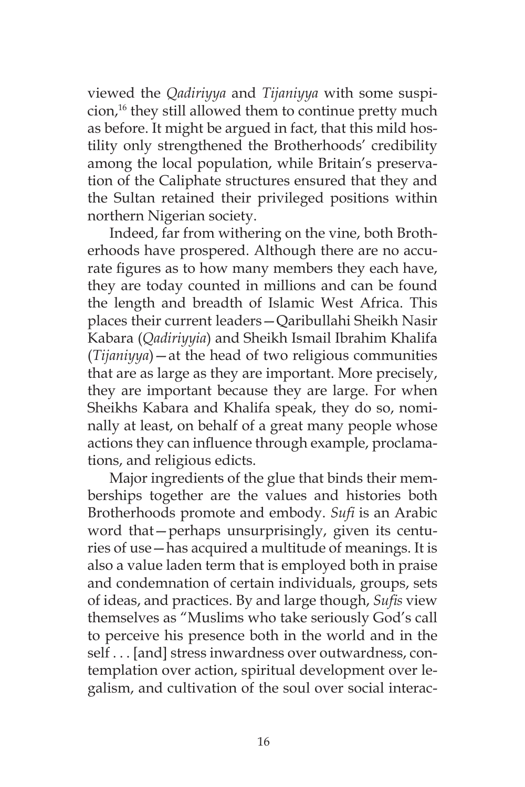viewed the *Qadiriyya* and *Tijaniyya* with some suspicion,<sup>16</sup> they still allowed them to continue pretty much as before. It might be argued in fact, that this mild hostility only strengthened the Brotherhoods' credibility among the local population, while Britain's preservation of the Caliphate structures ensured that they and the Sultan retained their privileged positions within northern Nigerian society.

Indeed, far from withering on the vine, both Brotherhoods have prospered. Although there are no accurate figures as to how many members they each have, they are today counted in millions and can be found the length and breadth of Islamic West Africa. This places their current leaders—Qaribullahi Sheikh Nasir Kabara (*Qadiriyyia*) and Sheikh Ismail Ibrahim Khalifa (*Tijaniyya*)—at the head of two religious communities that are as large as they are important. More precisely, they are important because they are large. For when Sheikhs Kabara and Khalifa speak, they do so, nominally at least, on behalf of a great many people whose actions they can influence through example, proclamations, and religious edicts.

Major ingredients of the glue that binds their memberships together are the values and histories both Brotherhoods promote and embody. *Sufi* is an Arabic word that—perhaps unsurprisingly, given its centuries of use—has acquired a multitude of meanings. It is also a value laden term that is employed both in praise and condemnation of certain individuals, groups, sets of ideas, and practices. By and large though, *Sufis* view themselves as "Muslims who take seriously God's call to perceive his presence both in the world and in the self . . . [and] stress inwardness over outwardness, contemplation over action, spiritual development over legalism, and cultivation of the soul over social interac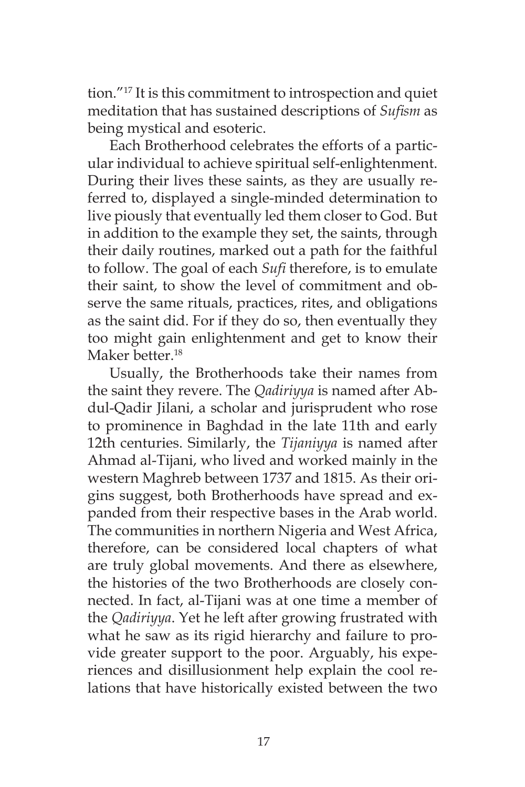tion."17 It is this commitment to introspection and quiet meditation that has sustained descriptions of *Sufism* as being mystical and esoteric.

Each Brotherhood celebrates the efforts of a particular individual to achieve spiritual self-enlightenment. During their lives these saints, as they are usually referred to, displayed a single-minded determination to live piously that eventually led them closer to God. But in addition to the example they set, the saints, through their daily routines, marked out a path for the faithful to follow. The goal of each *Sufi* therefore, is to emulate their saint, to show the level of commitment and observe the same rituals, practices, rites, and obligations as the saint did. For if they do so, then eventually they too might gain enlightenment and get to know their Maker better.<sup>18</sup>

Usually, the Brotherhoods take their names from the saint they revere. The *Qadiriyya* is named after Abdul-Qadir Jilani, a scholar and jurisprudent who rose to prominence in Baghdad in the late 11th and early 12th centuries. Similarly, the *Tijaniyya* is named after Ahmad al-Tijani, who lived and worked mainly in the western Maghreb between 1737 and 1815. As their origins suggest, both Brotherhoods have spread and expanded from their respective bases in the Arab world. The communities in northern Nigeria and West Africa, therefore, can be considered local chapters of what are truly global movements. And there as elsewhere, the histories of the two Brotherhoods are closely connected. In fact, al-Tijani was at one time a member of the *Qadiriyya*. Yet he left after growing frustrated with what he saw as its rigid hierarchy and failure to provide greater support to the poor. Arguably, his experiences and disillusionment help explain the cool relations that have historically existed between the two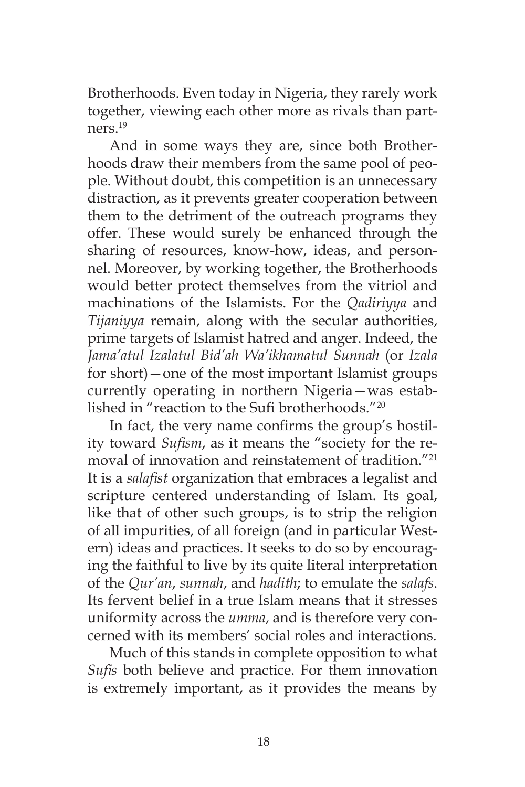Brotherhoods. Even today in Nigeria, they rarely work together, viewing each other more as rivals than partners.19

And in some ways they are, since both Brotherhoods draw their members from the same pool of people. Without doubt, this competition is an unnecessary distraction, as it prevents greater cooperation between them to the detriment of the outreach programs they offer. These would surely be enhanced through the sharing of resources, know-how, ideas, and personnel. Moreover, by working together, the Brotherhoods would better protect themselves from the vitriol and machinations of the Islamists. For the *Qadiriyya* and *Tijaniyya* remain, along with the secular authorities, prime targets of Islamist hatred and anger. Indeed, the *Jama'atul Izalatul Bid'ah Wa'ikhamatul Sunnah* (or *Izala* for short)—one of the most important Islamist groups currently operating in northern Nigeria—was established in "reaction to the Sufi brotherhoods."20

In fact, the very name confirms the group's hostility toward *Sufism*, as it means the "society for the removal of innovation and reinstatement of tradition."21 It is a *salafist* organization that embraces a legalist and scripture centered understanding of Islam. Its goal, like that of other such groups, is to strip the religion of all impurities, of all foreign (and in particular Western) ideas and practices. It seeks to do so by encouraging the faithful to live by its quite literal interpretation of the *Qur'an*, *sunnah*, and *hadith*; to emulate the *salafs*. Its fervent belief in a true Islam means that it stresses uniformity across the *umma*, and is therefore very concerned with its members' social roles and interactions.

Much of this stands in complete opposition to what *Sufis* both believe and practice. For them innovation is extremely important, as it provides the means by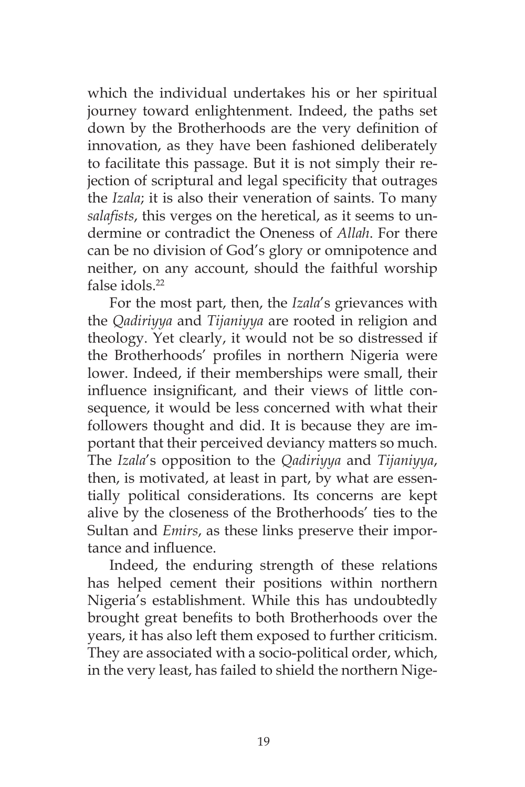which the individual undertakes his or her spiritual journey toward enlightenment. Indeed, the paths set down by the Brotherhoods are the very definition of innovation, as they have been fashioned deliberately to facilitate this passage. But it is not simply their rejection of scriptural and legal specificity that outrages the *Izala*; it is also their veneration of saints. To many *salafists*, this verges on the heretical, as it seems to undermine or contradict the Oneness of *Allah*. For there can be no division of God's glory or omnipotence and neither, on any account, should the faithful worship false idols.22

For the most part, then, the *Izala*'s grievances with the *Qadiriyya* and *Tijaniyya* are rooted in religion and theology. Yet clearly, it would not be so distressed if the Brotherhoods' profiles in northern Nigeria were lower. Indeed, if their memberships were small, their influence insignificant, and their views of little consequence, it would be less concerned with what their followers thought and did. It is because they are important that their perceived deviancy matters so much. The *Izala*'s opposition to the *Qadiriyya* and *Tijaniyya*, then, is motivated, at least in part, by what are essentially political considerations. Its concerns are kept alive by the closeness of the Brotherhoods' ties to the Sultan and *Emirs*, as these links preserve their importance and influence.

Indeed, the enduring strength of these relations has helped cement their positions within northern Nigeria's establishment. While this has undoubtedly brought great benefits to both Brotherhoods over the years, it has also left them exposed to further criticism. They are associated with a socio-political order, which, in the very least, has failed to shield the northern Nige-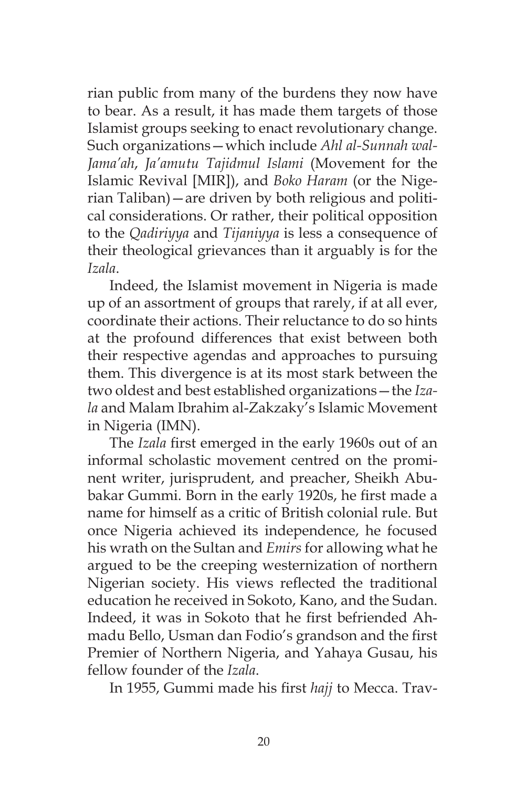rian public from many of the burdens they now have to bear. As a result, it has made them targets of those Islamist groups seeking to enact revolutionary change. Such organizations—which include *Ahl al-Sunnah wal-Jama'ah*, *Ja'amutu Tajidmul Islami* (Movement for the Islamic Revival [MIR]), and *Boko Haram* (or the Nigerian Taliban)—are driven by both religious and political considerations. Or rather, their political opposition to the *Qadiriyya* and *Tijaniyya* is less a consequence of their theological grievances than it arguably is for the *Izala*.

Indeed, the Islamist movement in Nigeria is made up of an assortment of groups that rarely, if at all ever, coordinate their actions. Their reluctance to do so hints at the profound differences that exist between both their respective agendas and approaches to pursuing them. This divergence is at its most stark between the two oldest and best established organizations—the *Izala* and Malam Ibrahim al-Zakzaky's Islamic Movement in Nigeria (IMN).

The *Izala* first emerged in the early 1960s out of an informal scholastic movement centred on the prominent writer, jurisprudent, and preacher, Sheikh Abubakar Gummi. Born in the early 1920s, he first made a name for himself as a critic of British colonial rule. But once Nigeria achieved its independence, he focused his wrath on the Sultan and *Emirs* for allowing what he argued to be the creeping westernization of northern Nigerian society. His views reflected the traditional education he received in Sokoto, Kano, and the Sudan. Indeed, it was in Sokoto that he first befriended Ahmadu Bello, Usman dan Fodio's grandson and the first Premier of Northern Nigeria, and Yahaya Gusau, his fellow founder of the *Izala*.

In 1955, Gummi made his first *hajj* to Mecca. Trav-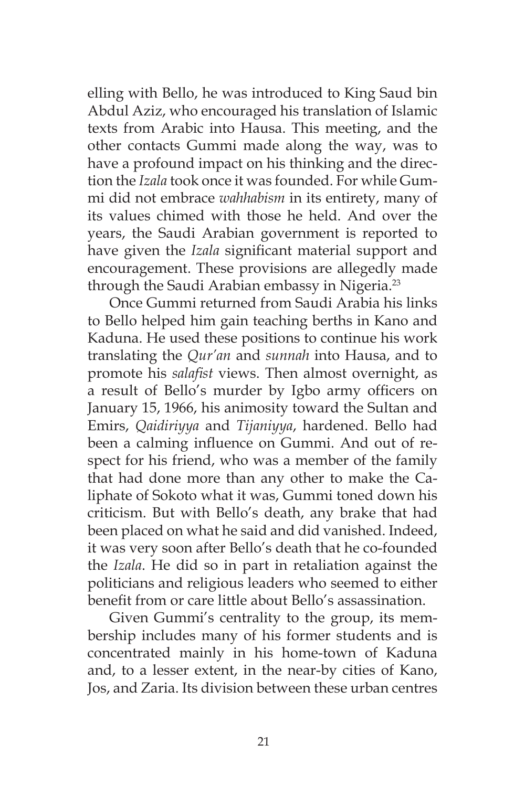elling with Bello, he was introduced to King Saud bin Abdul Aziz, who encouraged his translation of Islamic texts from Arabic into Hausa. This meeting, and the other contacts Gummi made along the way, was to have a profound impact on his thinking and the direction the *Izala* took once it was founded. For while Gummi did not embrace *wahhabism* in its entirety, many of its values chimed with those he held. And over the years, the Saudi Arabian government is reported to have given the *Izala* significant material support and encouragement. These provisions are allegedly made through the Saudi Arabian embassy in Nigeria.<sup>23</sup>

Once Gummi returned from Saudi Arabia his links to Bello helped him gain teaching berths in Kano and Kaduna. He used these positions to continue his work translating the *Qur'an* and *sunnah* into Hausa, and to promote his *salafist* views. Then almost overnight, as a result of Bello's murder by Igbo army officers on January 15, 1966, his animosity toward the Sultan and Emirs, *Qaidiriyya* and *Tijaniyya*, hardened. Bello had been a calming influence on Gummi. And out of respect for his friend, who was a member of the family that had done more than any other to make the Caliphate of Sokoto what it was, Gummi toned down his criticism. But with Bello's death, any brake that had been placed on what he said and did vanished. Indeed, it was very soon after Bello's death that he co-founded the *Izala*. He did so in part in retaliation against the politicians and religious leaders who seemed to either benefit from or care little about Bello's assassination.

Given Gummi's centrality to the group, its membership includes many of his former students and is concentrated mainly in his home-town of Kaduna and, to a lesser extent, in the near-by cities of Kano, Jos, and Zaria. Its division between these urban centres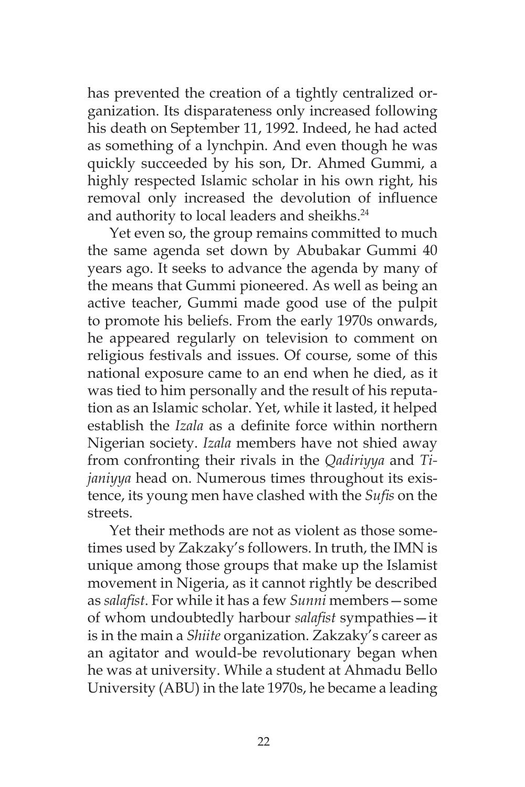has prevented the creation of a tightly centralized organization. Its disparateness only increased following his death on September 11, 1992. Indeed, he had acted as something of a lynchpin. And even though he was quickly succeeded by his son, Dr. Ahmed Gummi, a highly respected Islamic scholar in his own right, his removal only increased the devolution of influence and authority to local leaders and sheikhs.<sup>24</sup>

Yet even so, the group remains committed to much the same agenda set down by Abubakar Gummi 40 years ago. It seeks to advance the agenda by many of the means that Gummi pioneered. As well as being an active teacher, Gummi made good use of the pulpit to promote his beliefs. From the early 1970s onwards, he appeared regularly on television to comment on religious festivals and issues. Of course, some of this national exposure came to an end when he died, as it was tied to him personally and the result of his reputation as an Islamic scholar. Yet, while it lasted, it helped establish the *Izala* as a definite force within northern Nigerian society. *Izala* members have not shied away from confronting their rivals in the *Qadiriyya* and *Tijaniyya* head on. Numerous times throughout its existence, its young men have clashed with the *Sufis* on the streets.

Yet their methods are not as violent as those sometimes used by Zakzaky's followers. In truth, the IMN is unique among those groups that make up the Islamist movement in Nigeria, as it cannot rightly be described as *salafist*. For while it has a few *Sunni* members—some of whom undoubtedly harbour *salafist* sympathies—it is in the main a *Shiite* organization. Zakzaky's career as an agitator and would-be revolutionary began when he was at university. While a student at Ahmadu Bello University (ABU) in the late 1970s, he became a leading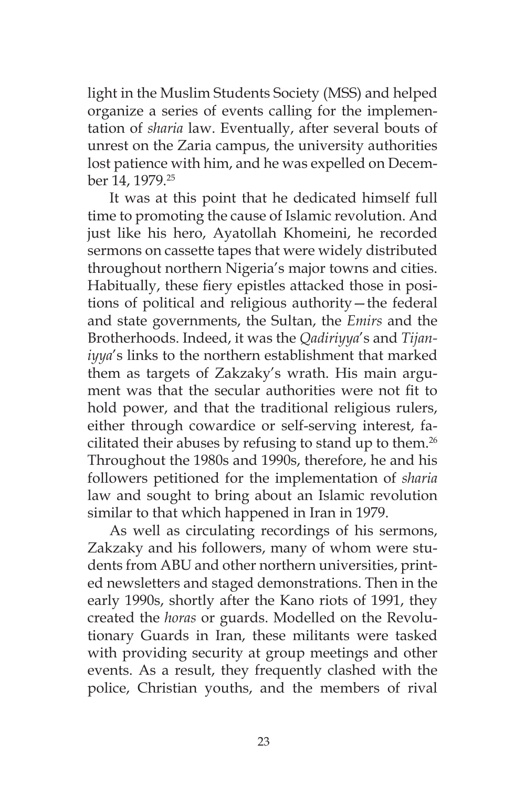light in the Muslim Students Society (MSS) and helped organize a series of events calling for the implementation of *sharia* law. Eventually, after several bouts of unrest on the Zaria campus, the university authorities lost patience with him, and he was expelled on December 14, 1979.25

It was at this point that he dedicated himself full time to promoting the cause of Islamic revolution. And just like his hero, Ayatollah Khomeini, he recorded sermons on cassette tapes that were widely distributed throughout northern Nigeria's major towns and cities. Habitually, these fiery epistles attacked those in positions of political and religious authority—the federal and state governments, the Sultan, the *Emirs* and the Brotherhoods. Indeed, it was the *Qadiriyya*'s and *Tijaniyya*'s links to the northern establishment that marked them as targets of Zakzaky's wrath. His main argument was that the secular authorities were not fit to hold power, and that the traditional religious rulers, either through cowardice or self-serving interest, facilitated their abuses by refusing to stand up to them.<sup>26</sup> Throughout the 1980s and 1990s, therefore, he and his followers petitioned for the implementation of *sharia* law and sought to bring about an Islamic revolution similar to that which happened in Iran in 1979.

As well as circulating recordings of his sermons, Zakzaky and his followers, many of whom were students from ABU and other northern universities, printed newsletters and staged demonstrations. Then in the early 1990s, shortly after the Kano riots of 1991, they created the *horas* or guards. Modelled on the Revolutionary Guards in Iran, these militants were tasked with providing security at group meetings and other events. As a result, they frequently clashed with the police, Christian youths, and the members of rival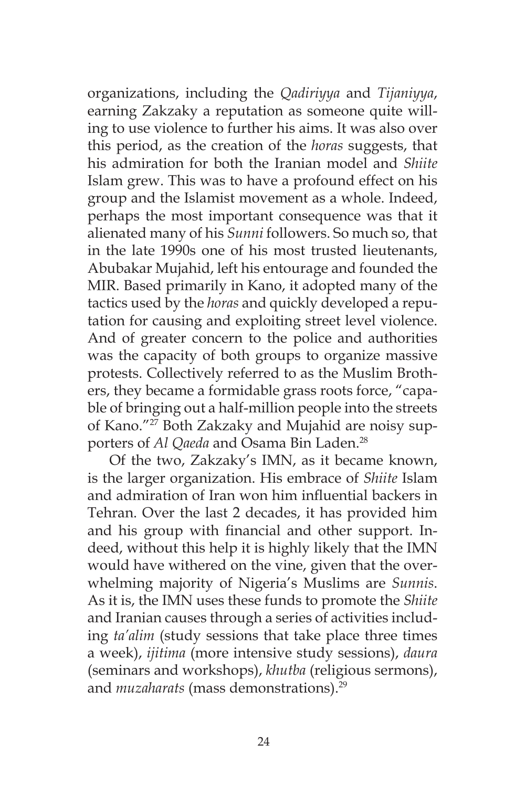organizations, including the *Qadiriyya* and *Tijaniyya*, earning Zakzaky a reputation as someone quite willing to use violence to further his aims. It was also over this period, as the creation of the *horas* suggests, that his admiration for both the Iranian model and *Shiite*  Islam grew. This was to have a profound effect on his group and the Islamist movement as a whole. Indeed, perhaps the most important consequence was that it alienated many of his *Sunni* followers. So much so, that in the late 1990s one of his most trusted lieutenants, Abubakar Mujahid, left his entourage and founded the MIR. Based primarily in Kano, it adopted many of the tactics used by the *horas* and quickly developed a reputation for causing and exploiting street level violence. And of greater concern to the police and authorities was the capacity of both groups to organize massive protests. Collectively referred to as the Muslim Brothers, they became a formidable grass roots force, "capable of bringing out a half-million people into the streets of Kano."<sup>27</sup> Both Zakzaky and Mujahid are noisy supporters of *Al Qaeda* and Osama Bin Laden.<sup>28</sup>

Of the two, Zakzaky's IMN, as it became known, is the larger organization. His embrace of *Shiite* Islam and admiration of Iran won him influential backers in Tehran. Over the last 2 decades, it has provided him and his group with financial and other support. Indeed, without this help it is highly likely that the IMN would have withered on the vine, given that the overwhelming majority of Nigeria's Muslims are *Sunnis*. As it is, the IMN uses these funds to promote the *Shiite*  and Iranian causes through a series of activities including *ta'alim* (study sessions that take place three times a week), *ijitima* (more intensive study sessions), *daura* (seminars and workshops), *khutba* (religious sermons), and *muzaharats* (mass demonstrations).<sup>29</sup>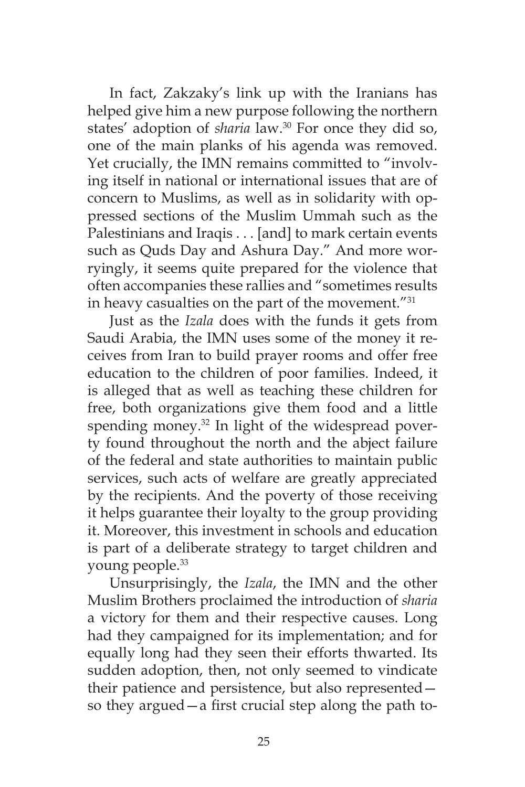In fact, Zakzaky's link up with the Iranians has helped give him a new purpose following the northern states' adoption of *sharia* law.<sup>30</sup> For once they did so, one of the main planks of his agenda was removed. Yet crucially, the IMN remains committed to "involving itself in national or international issues that are of concern to Muslims, as well as in solidarity with oppressed sections of the Muslim Ummah such as the Palestinians and Iraqis . . . [and] to mark certain events such as Quds Day and Ashura Day." And more worryingly, it seems quite prepared for the violence that often accompanies these rallies and "sometimes results in heavy casualties on the part of the movement."31

Just as the *Izala* does with the funds it gets from Saudi Arabia, the IMN uses some of the money it receives from Iran to build prayer rooms and offer free education to the children of poor families. Indeed, it is alleged that as well as teaching these children for free, both organizations give them food and a little spending money.<sup>32</sup> In light of the widespread poverty found throughout the north and the abject failure of the federal and state authorities to maintain public services, such acts of welfare are greatly appreciated by the recipients. And the poverty of those receiving it helps guarantee their loyalty to the group providing it. Moreover, this investment in schools and education is part of a deliberate strategy to target children and young people.<sup>33</sup>

Unsurprisingly, the *Izala*, the IMN and the other Muslim Brothers proclaimed the introduction of *sharia* a victory for them and their respective causes. Long had they campaigned for its implementation; and for equally long had they seen their efforts thwarted. Its sudden adoption, then, not only seemed to vindicate their patience and persistence, but also represented so they argued—a first crucial step along the path to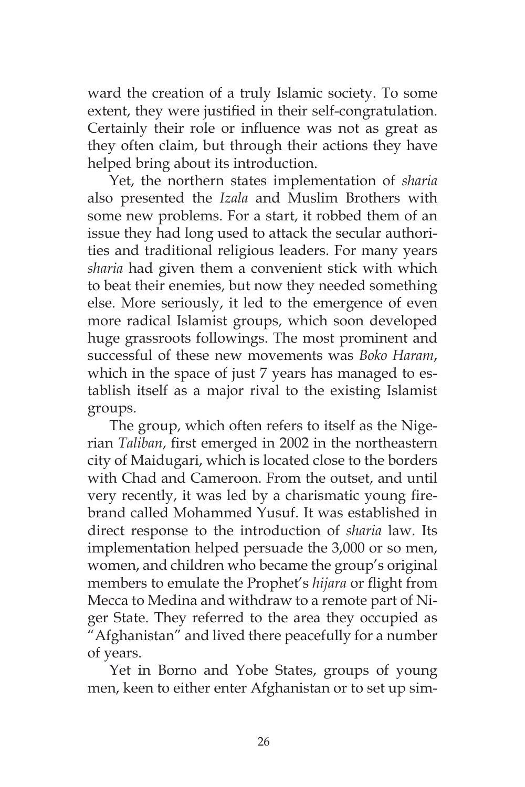ward the creation of a truly Islamic society. To some extent, they were justified in their self-congratulation. Certainly their role or influence was not as great as they often claim, but through their actions they have helped bring about its introduction.

Yet, the northern states implementation of *sharia* also presented the *Izala* and Muslim Brothers with some new problems. For a start, it robbed them of an issue they had long used to attack the secular authorities and traditional religious leaders. For many years *sharia* had given them a convenient stick with which to beat their enemies, but now they needed something else. More seriously, it led to the emergence of even more radical Islamist groups, which soon developed huge grassroots followings. The most prominent and successful of these new movements was *Boko Haram*, which in the space of just 7 years has managed to establish itself as a major rival to the existing Islamist groups.

The group, which often refers to itself as the Nigerian *Taliban*, first emerged in 2002 in the northeastern city of Maidugari, which is located close to the borders with Chad and Cameroon. From the outset, and until very recently, it was led by a charismatic young firebrand called Mohammed Yusuf. It was established in direct response to the introduction of *sharia* law. Its implementation helped persuade the 3,000 or so men, women, and children who became the group's original members to emulate the Prophet's *hijara* or flight from Mecca to Medina and withdraw to a remote part of Niger State. They referred to the area they occupied as "Afghanistan" and lived there peacefully for a number of years.

Yet in Borno and Yobe States, groups of young men, keen to either enter Afghanistan or to set up sim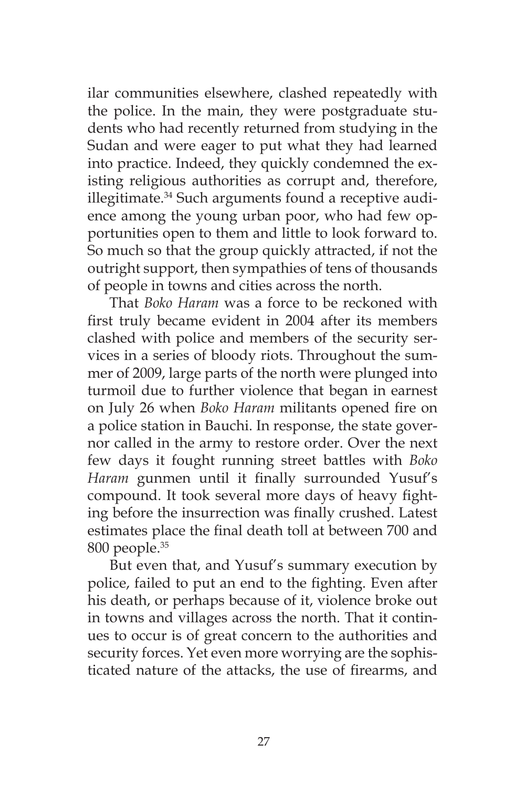ilar communities elsewhere, clashed repeatedly with the police. In the main, they were postgraduate students who had recently returned from studying in the Sudan and were eager to put what they had learned into practice. Indeed, they quickly condemned the existing religious authorities as corrupt and, therefore, illegitimate.<sup>34</sup> Such arguments found a receptive audience among the young urban poor, who had few opportunities open to them and little to look forward to. So much so that the group quickly attracted, if not the outright support, then sympathies of tens of thousands of people in towns and cities across the north.

That *Boko Haram* was a force to be reckoned with first truly became evident in 2004 after its members clashed with police and members of the security services in a series of bloody riots. Throughout the summer of 2009, large parts of the north were plunged into turmoil due to further violence that began in earnest on July 26 when *Boko Haram* militants opened fire on a police station in Bauchi. In response, the state governor called in the army to restore order. Over the next few days it fought running street battles with *Boko Haram* gunmen until it finally surrounded Yusuf's compound. It took several more days of heavy fighting before the insurrection was finally crushed. Latest estimates place the final death toll at between 700 and 800 people.<sup>35</sup>

But even that, and Yusuf's summary execution by police, failed to put an end to the fighting. Even after his death, or perhaps because of it, violence broke out in towns and villages across the north. That it continues to occur is of great concern to the authorities and security forces. Yet even more worrying are the sophisticated nature of the attacks, the use of firearms, and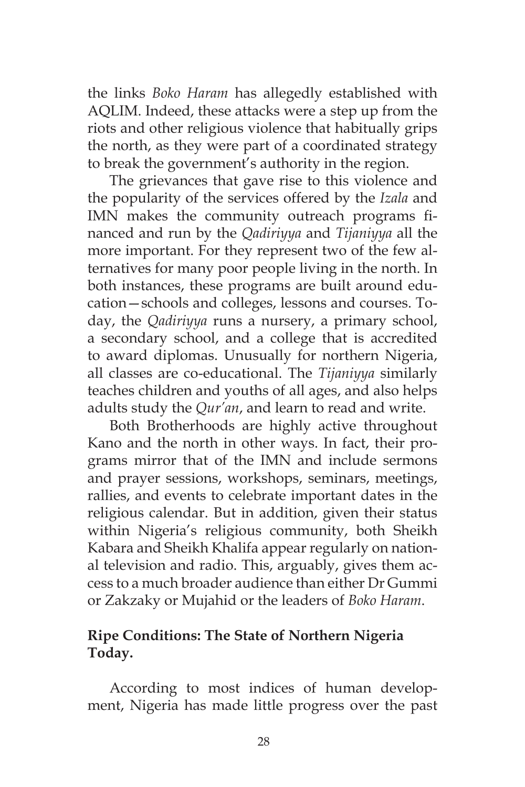the links *Boko Haram* has allegedly established with AQLIM. Indeed, these attacks were a step up from the riots and other religious violence that habitually grips the north, as they were part of a coordinated strategy to break the government's authority in the region.

The grievances that gave rise to this violence and the popularity of the services offered by the *Izala* and IMN makes the community outreach programs financed and run by the *Qadiriyya* and *Tijaniyya* all the more important. For they represent two of the few alternatives for many poor people living in the north. In both instances, these programs are built around education—schools and colleges, lessons and courses. Today, the *Qadiriyya* runs a nursery, a primary school, a secondary school, and a college that is accredited to award diplomas. Unusually for northern Nigeria, all classes are co-educational. The *Tijaniyya* similarly teaches children and youths of all ages, and also helps adults study the *Qur'an*, and learn to read and write.

Both Brotherhoods are highly active throughout Kano and the north in other ways. In fact, their programs mirror that of the IMN and include sermons and prayer sessions, workshops, seminars, meetings, rallies, and events to celebrate important dates in the religious calendar. But in addition, given their status within Nigeria's religious community, both Sheikh Kabara and Sheikh Khalifa appear regularly on national television and radio. This, arguably, gives them access to a much broader audience than either Dr Gummi or Zakzaky or Mujahid or the leaders of *Boko Haram*.

## **Ripe Conditions: The State of Northern Nigeria Today.**

According to most indices of human development, Nigeria has made little progress over the past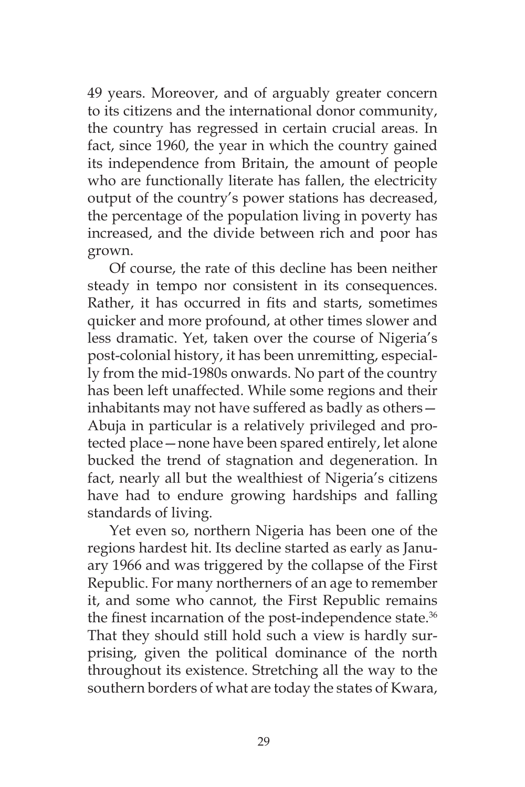49 years. Moreover, and of arguably greater concern to its citizens and the international donor community, the country has regressed in certain crucial areas. In fact, since 1960, the year in which the country gained its independence from Britain, the amount of people who are functionally literate has fallen, the electricity output of the country's power stations has decreased, the percentage of the population living in poverty has increased, and the divide between rich and poor has grown.

Of course, the rate of this decline has been neither steady in tempo nor consistent in its consequences. Rather, it has occurred in fits and starts, sometimes quicker and more profound, at other times slower and less dramatic. Yet, taken over the course of Nigeria's post-colonial history, it has been unremitting, especially from the mid-1980s onwards. No part of the country has been left unaffected. While some regions and their inhabitants may not have suffered as badly as others— Abuja in particular is a relatively privileged and protected place—none have been spared entirely, let alone bucked the trend of stagnation and degeneration. In fact, nearly all but the wealthiest of Nigeria's citizens have had to endure growing hardships and falling standards of living.

Yet even so, northern Nigeria has been one of the regions hardest hit. Its decline started as early as January 1966 and was triggered by the collapse of the First Republic. For many northerners of an age to remember it, and some who cannot, the First Republic remains the finest incarnation of the post-independence state.<sup>36</sup> That they should still hold such a view is hardly surprising, given the political dominance of the north throughout its existence. Stretching all the way to the southern borders of what are today the states of Kwara,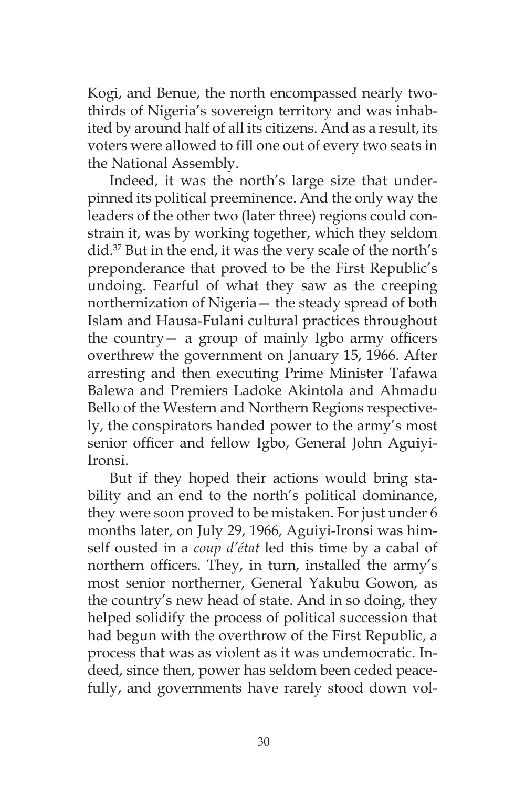Kogi, and Benue, the north encompassed nearly twothirds of Nigeria's sovereign territory and was inhabited by around half of all its citizens. And as a result, its voters were allowed to fill one out of every two seats in the National Assembly.

Indeed, it was the north's large size that underpinned its political preeminence. And the only way the leaders of the other two (later three) regions could constrain it, was by working together, which they seldom did.37 But in the end, it was the very scale of the north's preponderance that proved to be the First Republic's undoing. Fearful of what they saw as the creeping northernization of Nigeria— the steady spread of both Islam and Hausa-Fulani cultural practices throughout the country— a group of mainly Igbo army officers overthrew the government on January 15, 1966. After arresting and then executing Prime Minister Tafawa Balewa and Premiers Ladoke Akintola and Ahmadu Bello of the Western and Northern Regions respectively, the conspirators handed power to the army's most senior officer and fellow Igbo, General John Aguiyi-Ironsi.

But if they hoped their actions would bring stability and an end to the north's political dominance, they were soon proved to be mistaken. For just under 6 months later, on July 29, 1966, Aguiyi-Ironsi was himself ousted in a *coup d'état* led this time by a cabal of northern officers. They, in turn, installed the army's most senior northerner, General Yakubu Gowon, as the country's new head of state. And in so doing, they helped solidify the process of political succession that had begun with the overthrow of the First Republic, a process that was as violent as it was undemocratic. Indeed, since then, power has seldom been ceded peacefully, and governments have rarely stood down vol-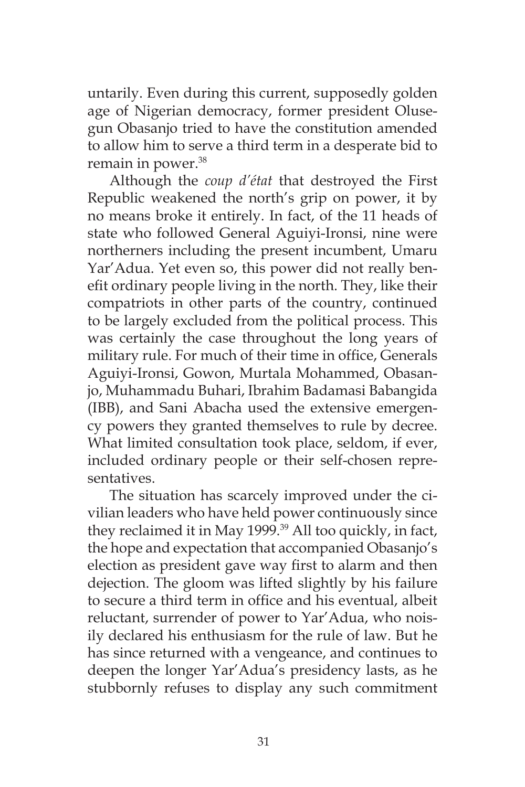untarily. Even during this current, supposedly golden age of Nigerian democracy, former president Olusegun Obasanjo tried to have the constitution amended to allow him to serve a third term in a desperate bid to remain in power.<sup>38</sup>

Although the *coup d'état* that destroyed the First Republic weakened the north's grip on power, it by no means broke it entirely. In fact, of the 11 heads of state who followed General Aguiyi-Ironsi, nine were northerners including the present incumbent, Umaru Yar'Adua. Yet even so, this power did not really benefit ordinary people living in the north. They, like their compatriots in other parts of the country, continued to be largely excluded from the political process. This was certainly the case throughout the long years of military rule. For much of their time in office, Generals Aguiyi-Ironsi, Gowon, Murtala Mohammed, Obasanjo, Muhammadu Buhari, Ibrahim Badamasi Babangida (IBB), and Sani Abacha used the extensive emergency powers they granted themselves to rule by decree. What limited consultation took place, seldom, if ever, included ordinary people or their self-chosen representatives.

The situation has scarcely improved under the civilian leaders who have held power continuously since they reclaimed it in May 1999.<sup>39</sup> All too quickly, in fact, the hope and expectation that accompanied Obasanjo's election as president gave way first to alarm and then dejection. The gloom was lifted slightly by his failure to secure a third term in office and his eventual, albeit reluctant, surrender of power to Yar'Adua, who noisily declared his enthusiasm for the rule of law. But he has since returned with a vengeance, and continues to deepen the longer Yar'Adua's presidency lasts, as he stubbornly refuses to display any such commitment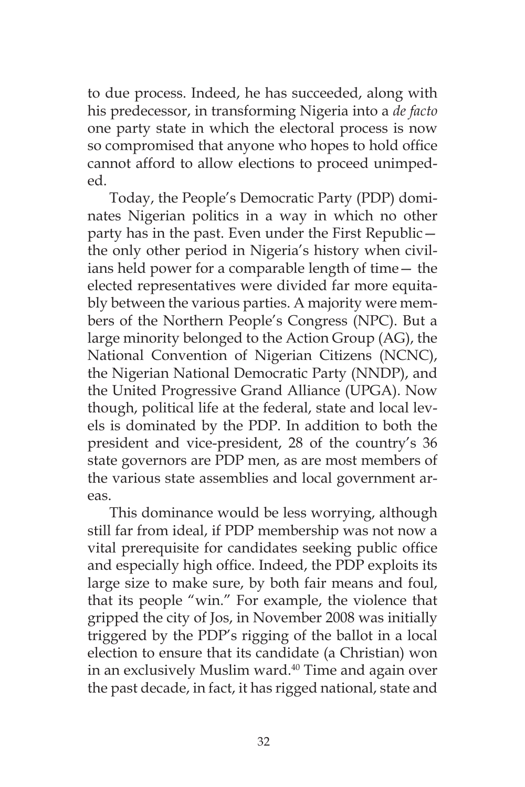to due process. Indeed, he has succeeded, along with his predecessor, in transforming Nigeria into a *de facto* one party state in which the electoral process is now so compromised that anyone who hopes to hold office cannot afford to allow elections to proceed unimpeded.

Today, the People's Democratic Party (PDP) dominates Nigerian politics in a way in which no other party has in the past. Even under the First Republic the only other period in Nigeria's history when civilians held power for a comparable length of time— the elected representatives were divided far more equitably between the various parties. A majority were members of the Northern People's Congress (NPC). But a large minority belonged to the Action Group (AG), the National Convention of Nigerian Citizens (NCNC), the Nigerian National Democratic Party (NNDP), and the United Progressive Grand Alliance (UPGA). Now though, political life at the federal, state and local levels is dominated by the PDP. In addition to both the president and vice-president, 28 of the country's 36 state governors are PDP men, as are most members of the various state assemblies and local government areas.

This dominance would be less worrying, although still far from ideal, if PDP membership was not now a vital prerequisite for candidates seeking public office and especially high office. Indeed, the PDP exploits its large size to make sure, by both fair means and foul, that its people "win." For example, the violence that gripped the city of Jos, in November 2008 was initially triggered by the PDP's rigging of the ballot in a local election to ensure that its candidate (a Christian) won in an exclusively Muslim ward.<sup>40</sup> Time and again over the past decade, in fact, it has rigged national, state and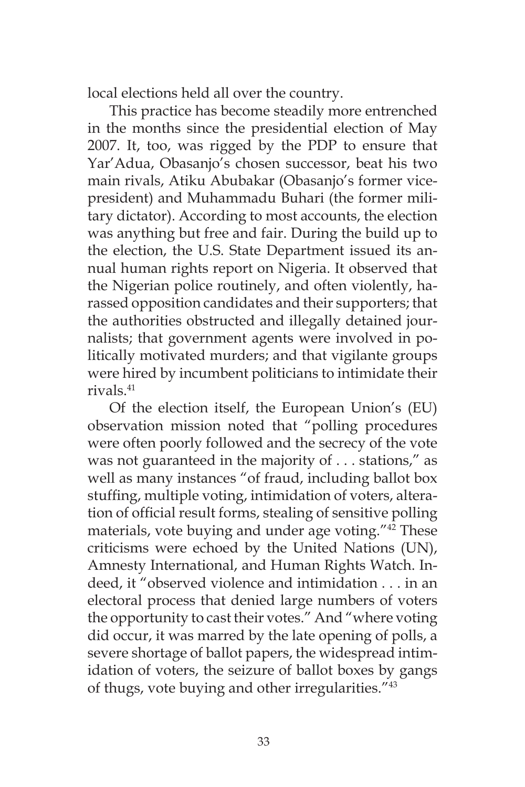local elections held all over the country.

This practice has become steadily more entrenched in the months since the presidential election of May 2007. It, too, was rigged by the PDP to ensure that Yar'Adua, Obasanjo's chosen successor, beat his two main rivals, Atiku Abubakar (Obasanjo's former vicepresident) and Muhammadu Buhari (the former military dictator). According to most accounts, the election was anything but free and fair. During the build up to the election, the U.S. State Department issued its annual human rights report on Nigeria. It observed that the Nigerian police routinely, and often violently, harassed opposition candidates and their supporters; that the authorities obstructed and illegally detained journalists; that government agents were involved in politically motivated murders; and that vigilante groups were hired by incumbent politicians to intimidate their rivals.41

Of the election itself, the European Union's (EU) observation mission noted that "polling procedures were often poorly followed and the secrecy of the vote was not guaranteed in the majority of . . . stations," as well as many instances "of fraud, including ballot box stuffing, multiple voting, intimidation of voters, alteration of official result forms, stealing of sensitive polling materials, vote buying and under age voting."42 These criticisms were echoed by the United Nations (UN), Amnesty International, and Human Rights Watch. Indeed, it "observed violence and intimidation . . . in an electoral process that denied large numbers of voters the opportunity to cast their votes." And "where voting did occur, it was marred by the late opening of polls, a severe shortage of ballot papers, the widespread intimidation of voters, the seizure of ballot boxes by gangs of thugs, vote buying and other irregularities."43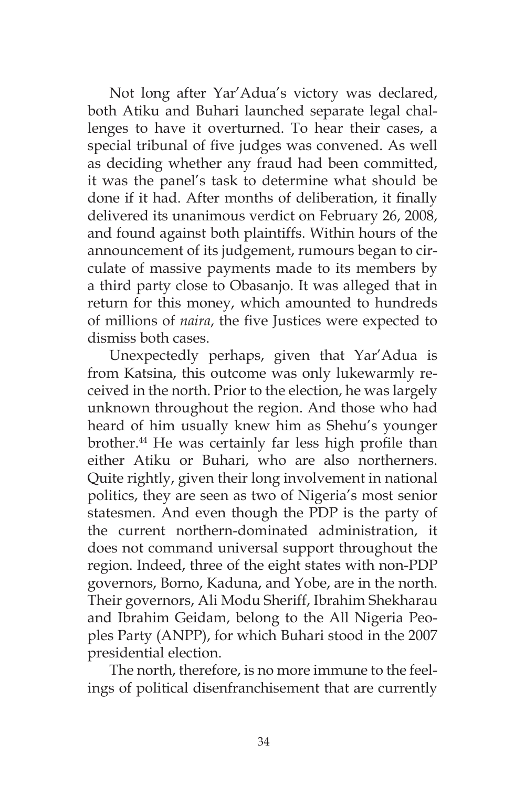Not long after Yar'Adua's victory was declared, both Atiku and Buhari launched separate legal challenges to have it overturned. To hear their cases, a special tribunal of five judges was convened. As well as deciding whether any fraud had been committed, it was the panel's task to determine what should be done if it had. After months of deliberation, it finally delivered its unanimous verdict on February 26, 2008, and found against both plaintiffs. Within hours of the announcement of its judgement, rumours began to circulate of massive payments made to its members by a third party close to Obasanjo. It was alleged that in return for this money, which amounted to hundreds of millions of *naira*, the five Justices were expected to dismiss both cases.

Unexpectedly perhaps, given that Yar'Adua is from Katsina, this outcome was only lukewarmly received in the north. Prior to the election, he was largely unknown throughout the region. And those who had heard of him usually knew him as Shehu's younger brother.44 He was certainly far less high profile than either Atiku or Buhari, who are also northerners. Quite rightly, given their long involvement in national politics, they are seen as two of Nigeria's most senior statesmen. And even though the PDP is the party of the current northern-dominated administration, it does not command universal support throughout the region. Indeed, three of the eight states with non-PDP governors, Borno, Kaduna, and Yobe, are in the north. Their governors, Ali Modu Sheriff, Ibrahim Shekharau and Ibrahim Geidam, belong to the All Nigeria Peoples Party (ANPP), for which Buhari stood in the 2007 presidential election.

The north, therefore, is no more immune to the feelings of political disenfranchisement that are currently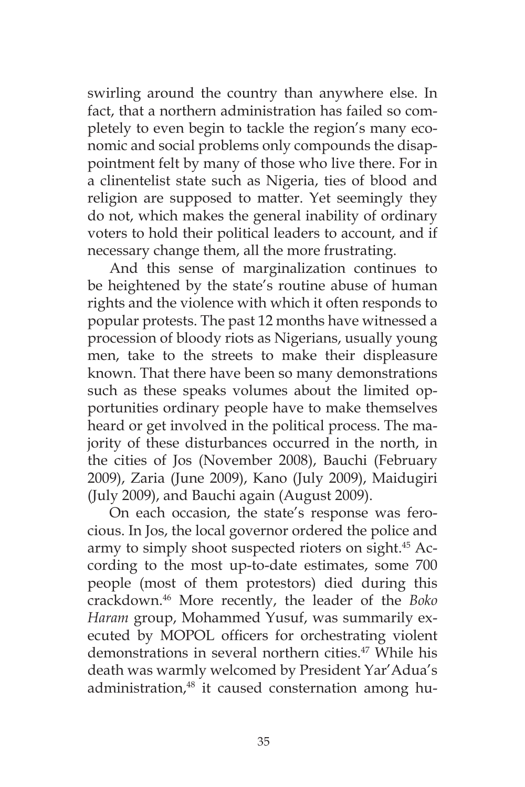swirling around the country than anywhere else. In fact, that a northern administration has failed so completely to even begin to tackle the region's many economic and social problems only compounds the disappointment felt by many of those who live there. For in a clinentelist state such as Nigeria, ties of blood and religion are supposed to matter. Yet seemingly they do not, which makes the general inability of ordinary voters to hold their political leaders to account, and if necessary change them, all the more frustrating.

And this sense of marginalization continues to be heightened by the state's routine abuse of human rights and the violence with which it often responds to popular protests. The past 12 months have witnessed a procession of bloody riots as Nigerians, usually young men, take to the streets to make their displeasure known. That there have been so many demonstrations such as these speaks volumes about the limited opportunities ordinary people have to make themselves heard or get involved in the political process. The majority of these disturbances occurred in the north, in the cities of Jos (November 2008), Bauchi (February 2009), Zaria (June 2009), Kano (July 2009), Maidugiri (July 2009), and Bauchi again (August 2009).

On each occasion, the state's response was ferocious. In Jos, the local governor ordered the police and army to simply shoot suspected rioters on sight.<sup>45</sup> According to the most up-to-date estimates, some 700 people (most of them protestors) died during this crackdown.46 More recently, the leader of the *Boko Haram* group, Mohammed Yusuf, was summarily executed by MOPOL officers for orchestrating violent demonstrations in several northern cities.<sup>47</sup> While his death was warmly welcomed by President Yar'Adua's administration,<sup>48</sup> it caused consternation among hu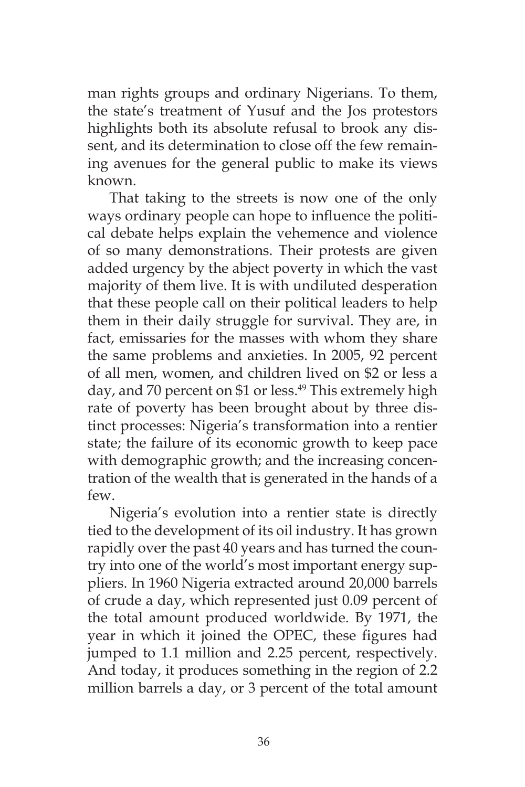man rights groups and ordinary Nigerians. To them, the state's treatment of Yusuf and the Jos protestors highlights both its absolute refusal to brook any dissent, and its determination to close off the few remaining avenues for the general public to make its views known.

That taking to the streets is now one of the only ways ordinary people can hope to influence the political debate helps explain the vehemence and violence of so many demonstrations. Their protests are given added urgency by the abject poverty in which the vast majority of them live. It is with undiluted desperation that these people call on their political leaders to help them in their daily struggle for survival. They are, in fact, emissaries for the masses with whom they share the same problems and anxieties. In 2005, 92 percent of all men, women, and children lived on \$2 or less a day, and 70 percent on \$1 or less.<sup>49</sup> This extremely high rate of poverty has been brought about by three distinct processes: Nigeria's transformation into a rentier state; the failure of its economic growth to keep pace with demographic growth; and the increasing concentration of the wealth that is generated in the hands of a few.

Nigeria's evolution into a rentier state is directly tied to the development of its oil industry. It has grown rapidly over the past 40 years and has turned the country into one of the world's most important energy suppliers. In 1960 Nigeria extracted around 20,000 barrels of crude a day, which represented just 0.09 percent of the total amount produced worldwide. By 1971, the year in which it joined the OPEC, these figures had jumped to 1.1 million and 2.25 percent, respectively. And today, it produces something in the region of 2.2 million barrels a day, or 3 percent of the total amount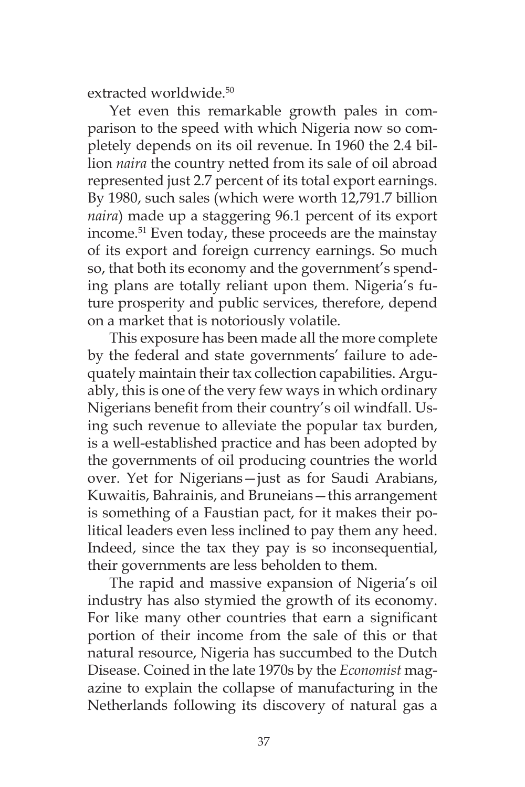extracted worldwide.<sup>50</sup>

Yet even this remarkable growth pales in comparison to the speed with which Nigeria now so completely depends on its oil revenue. In 1960 the 2.4 billion *naira* the country netted from its sale of oil abroad represented just 2.7 percent of its total export earnings. By 1980, such sales (which were worth 12,791.7 billion *naira*) made up a staggering 96.1 percent of its export income.51 Even today, these proceeds are the mainstay of its export and foreign currency earnings. So much so, that both its economy and the government's spending plans are totally reliant upon them. Nigeria's future prosperity and public services, therefore, depend on a market that is notoriously volatile.

This exposure has been made all the more complete by the federal and state governments' failure to adequately maintain their tax collection capabilities. Arguably, this is one of the very few ways in which ordinary Nigerians benefit from their country's oil windfall. Using such revenue to alleviate the popular tax burden, is a well-established practice and has been adopted by the governments of oil producing countries the world over. Yet for Nigerians—just as for Saudi Arabians, Kuwaitis, Bahrainis, and Bruneians—this arrangement is something of a Faustian pact, for it makes their political leaders even less inclined to pay them any heed. Indeed, since the tax they pay is so inconsequential, their governments are less beholden to them.

The rapid and massive expansion of Nigeria's oil industry has also stymied the growth of its economy. For like many other countries that earn a significant portion of their income from the sale of this or that natural resource, Nigeria has succumbed to the Dutch Disease. Coined in the late 1970s by the *Economist* magazine to explain the collapse of manufacturing in the Netherlands following its discovery of natural gas a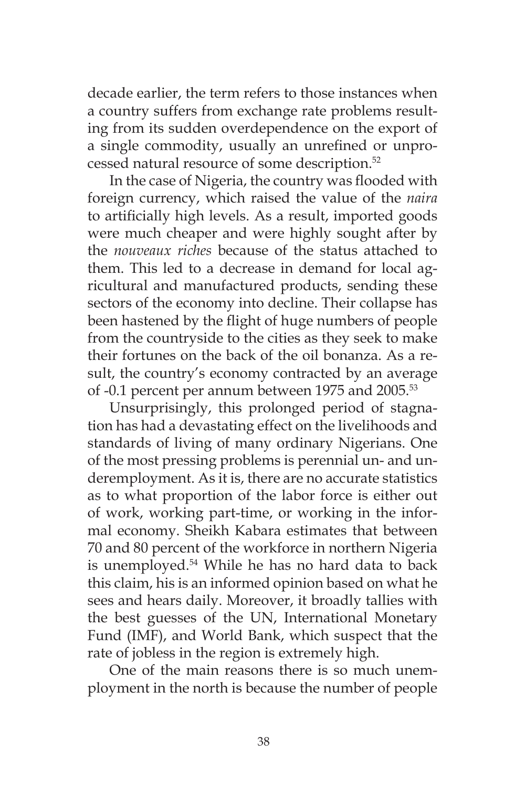decade earlier, the term refers to those instances when a country suffers from exchange rate problems resulting from its sudden overdependence on the export of a single commodity, usually an unrefined or unprocessed natural resource of some description.52

In the case of Nigeria, the country was flooded with foreign currency, which raised the value of the *naira* to artificially high levels. As a result, imported goods were much cheaper and were highly sought after by the *nouveaux riches* because of the status attached to them. This led to a decrease in demand for local agricultural and manufactured products, sending these sectors of the economy into decline. Their collapse has been hastened by the flight of huge numbers of people from the countryside to the cities as they seek to make their fortunes on the back of the oil bonanza. As a result, the country's economy contracted by an average of -0.1 percent per annum between 1975 and 2005.<sup>53</sup>

Unsurprisingly, this prolonged period of stagnation has had a devastating effect on the livelihoods and standards of living of many ordinary Nigerians. One of the most pressing problems is perennial un- and underemployment. As it is, there are no accurate statistics as to what proportion of the labor force is either out of work, working part-time, or working in the informal economy. Sheikh Kabara estimates that between 70 and 80 percent of the workforce in northern Nigeria is unemployed.54 While he has no hard data to back this claim, his is an informed opinion based on what he sees and hears daily. Moreover, it broadly tallies with the best guesses of the UN, International Monetary Fund (IMF), and World Bank, which suspect that the rate of jobless in the region is extremely high.

One of the main reasons there is so much unemployment in the north is because the number of people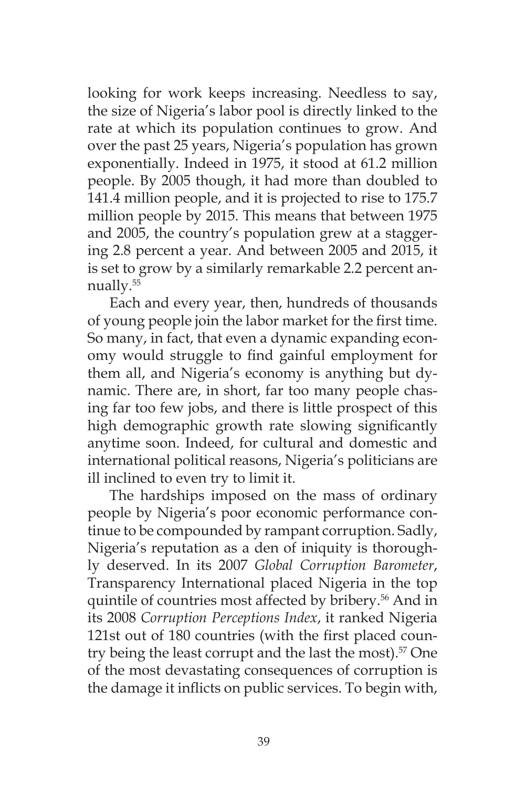looking for work keeps increasing. Needless to say, the size of Nigeria's labor pool is directly linked to the rate at which its population continues to grow. And over the past 25 years, Nigeria's population has grown exponentially. Indeed in 1975, it stood at 61.2 million people. By 2005 though, it had more than doubled to 141.4 million people, and it is projected to rise to 175.7 million people by 2015. This means that between 1975 and 2005, the country's population grew at a staggering 2.8 percent a year. And between 2005 and 2015, it is set to grow by a similarly remarkable 2.2 percent annually.55

Each and every year, then, hundreds of thousands of young people join the labor market for the first time. So many, in fact, that even a dynamic expanding economy would struggle to find gainful employment for them all, and Nigeria's economy is anything but dynamic. There are, in short, far too many people chasing far too few jobs, and there is little prospect of this high demographic growth rate slowing significantly anytime soon. Indeed, for cultural and domestic and international political reasons, Nigeria's politicians are ill inclined to even try to limit it.

The hardships imposed on the mass of ordinary people by Nigeria's poor economic performance continue to be compounded by rampant corruption. Sadly, Nigeria's reputation as a den of iniquity is thoroughly deserved. In its 2007 *Global Corruption Barometer*, Transparency International placed Nigeria in the top quintile of countries most affected by bribery.<sup>56</sup> And in its 2008 *Corruption Perceptions Index*, it ranked Nigeria 121st out of 180 countries (with the first placed country being the least corrupt and the last the most).<sup>57</sup> One of the most devastating consequences of corruption is the damage it inflicts on public services. To begin with,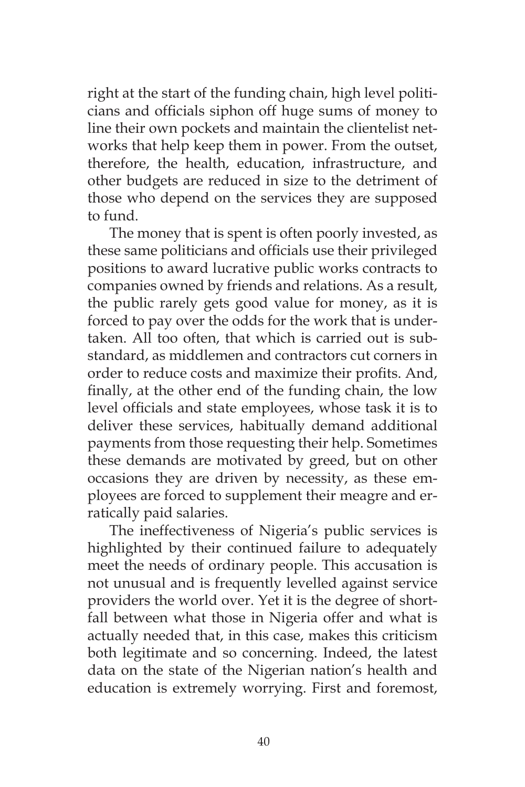right at the start of the funding chain, high level politicians and officials siphon off huge sums of money to line their own pockets and maintain the clientelist networks that help keep them in power. From the outset, therefore, the health, education, infrastructure, and other budgets are reduced in size to the detriment of those who depend on the services they are supposed to fund.

The money that is spent is often poorly invested, as these same politicians and officials use their privileged positions to award lucrative public works contracts to companies owned by friends and relations. As a result, the public rarely gets good value for money, as it is forced to pay over the odds for the work that is undertaken. All too often, that which is carried out is substandard, as middlemen and contractors cut corners in order to reduce costs and maximize their profits. And, finally, at the other end of the funding chain, the low level officials and state employees, whose task it is to deliver these services, habitually demand additional payments from those requesting their help. Sometimes these demands are motivated by greed, but on other occasions they are driven by necessity, as these employees are forced to supplement their meagre and erratically paid salaries.

The ineffectiveness of Nigeria's public services is highlighted by their continued failure to adequately meet the needs of ordinary people. This accusation is not unusual and is frequently levelled against service providers the world over. Yet it is the degree of shortfall between what those in Nigeria offer and what is actually needed that, in this case, makes this criticism both legitimate and so concerning. Indeed, the latest data on the state of the Nigerian nation's health and education is extremely worrying. First and foremost,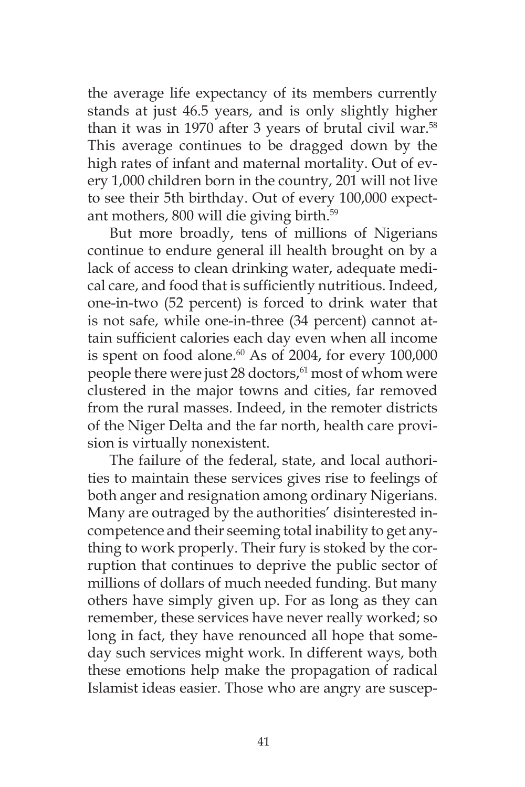the average life expectancy of its members currently stands at just 46.5 years, and is only slightly higher than it was in 1970 after 3 years of brutal civil war.<sup>58</sup> This average continues to be dragged down by the high rates of infant and maternal mortality. Out of every 1,000 children born in the country, 201 will not live to see their 5th birthday. Out of every 100,000 expectant mothers, 800 will die giving birth.59

But more broadly, tens of millions of Nigerians continue to endure general ill health brought on by a lack of access to clean drinking water, adequate medical care, and food that is sufficiently nutritious. Indeed, one-in-two (52 percent) is forced to drink water that is not safe, while one-in-three (34 percent) cannot attain sufficient calories each day even when all income is spent on food alone.<sup>60</sup> As of 2004, for every 100,000 people there were just 28 doctors,<sup>61</sup> most of whom were clustered in the major towns and cities, far removed from the rural masses. Indeed, in the remoter districts of the Niger Delta and the far north, health care provision is virtually nonexistent.

The failure of the federal, state, and local authorities to maintain these services gives rise to feelings of both anger and resignation among ordinary Nigerians. Many are outraged by the authorities' disinterested incompetence and their seeming total inability to get anything to work properly. Their fury is stoked by the corruption that continues to deprive the public sector of millions of dollars of much needed funding. But many others have simply given up. For as long as they can remember, these services have never really worked; so long in fact, they have renounced all hope that someday such services might work. In different ways, both these emotions help make the propagation of radical Islamist ideas easier. Those who are angry are suscep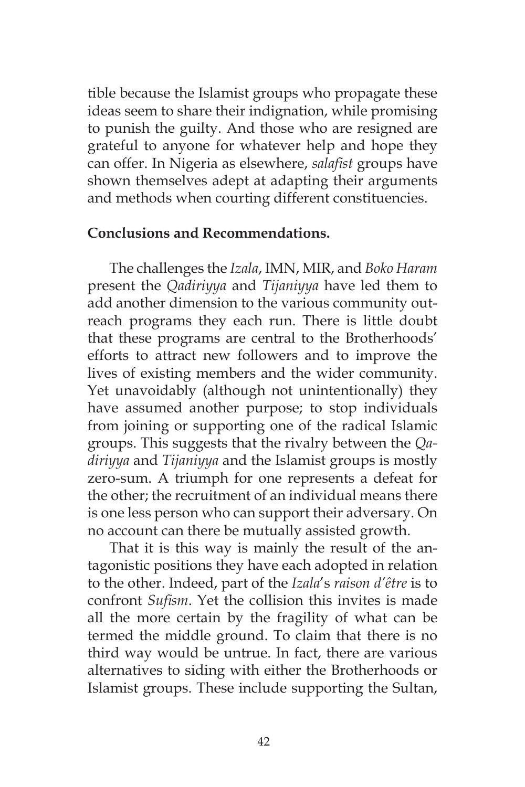tible because the Islamist groups who propagate these ideas seem to share their indignation, while promising to punish the guilty. And those who are resigned are grateful to anyone for whatever help and hope they can offer. In Nigeria as elsewhere, *salafist* groups have shown themselves adept at adapting their arguments and methods when courting different constituencies.

#### **Conclusions and Recommendations.**

The challenges the *Izala*, IMN, MIR, and *Boko Haram* present the *Qadiriyya* and *Tijaniyya* have led them to add another dimension to the various community outreach programs they each run. There is little doubt that these programs are central to the Brotherhoods' efforts to attract new followers and to improve the lives of existing members and the wider community. Yet unavoidably (although not unintentionally) they have assumed another purpose; to stop individuals from joining or supporting one of the radical Islamic groups. This suggests that the rivalry between the *Qadiriyya* and *Tijaniyya* and the Islamist groups is mostly zero-sum. A triumph for one represents a defeat for the other; the recruitment of an individual means there is one less person who can support their adversary. On no account can there be mutually assisted growth.

That it is this way is mainly the result of the antagonistic positions they have each adopted in relation to the other. Indeed, part of the *Izala*'s *raison d'être* is to confront *Sufism*. Yet the collision this invites is made all the more certain by the fragility of what can be termed the middle ground. To claim that there is no third way would be untrue. In fact, there are various alternatives to siding with either the Brotherhoods or Islamist groups. These include supporting the Sultan,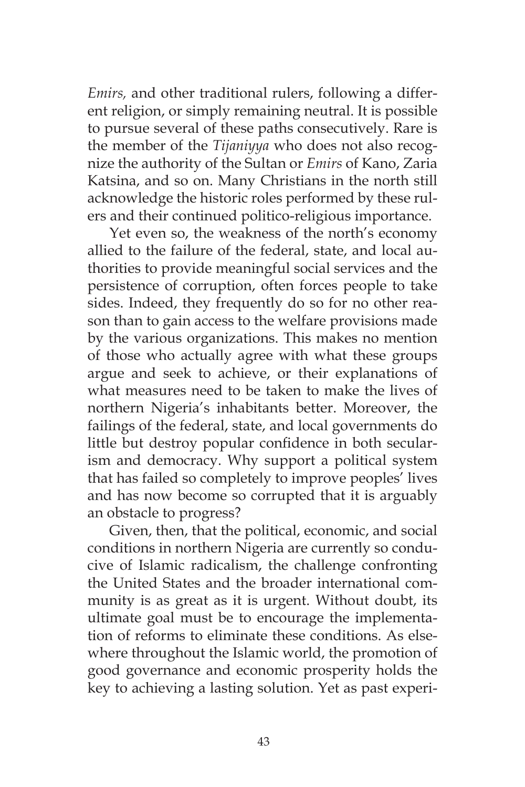*Emirs,* and other traditional rulers, following a different religion, or simply remaining neutral. It is possible to pursue several of these paths consecutively. Rare is the member of the *Tijaniyya* who does not also recognize the authority of the Sultan or *Emirs* of Kano, Zaria Katsina, and so on. Many Christians in the north still acknowledge the historic roles performed by these rulers and their continued politico-religious importance.

Yet even so, the weakness of the north's economy allied to the failure of the federal, state, and local authorities to provide meaningful social services and the persistence of corruption, often forces people to take sides. Indeed, they frequently do so for no other reason than to gain access to the welfare provisions made by the various organizations. This makes no mention of those who actually agree with what these groups argue and seek to achieve, or their explanations of what measures need to be taken to make the lives of northern Nigeria's inhabitants better. Moreover, the failings of the federal, state, and local governments do little but destroy popular confidence in both secularism and democracy. Why support a political system that has failed so completely to improve peoples' lives and has now become so corrupted that it is arguably an obstacle to progress?

Given, then, that the political, economic, and social conditions in northern Nigeria are currently so conducive of Islamic radicalism, the challenge confronting the United States and the broader international community is as great as it is urgent. Without doubt, its ultimate goal must be to encourage the implementation of reforms to eliminate these conditions. As elsewhere throughout the Islamic world, the promotion of good governance and economic prosperity holds the key to achieving a lasting solution. Yet as past experi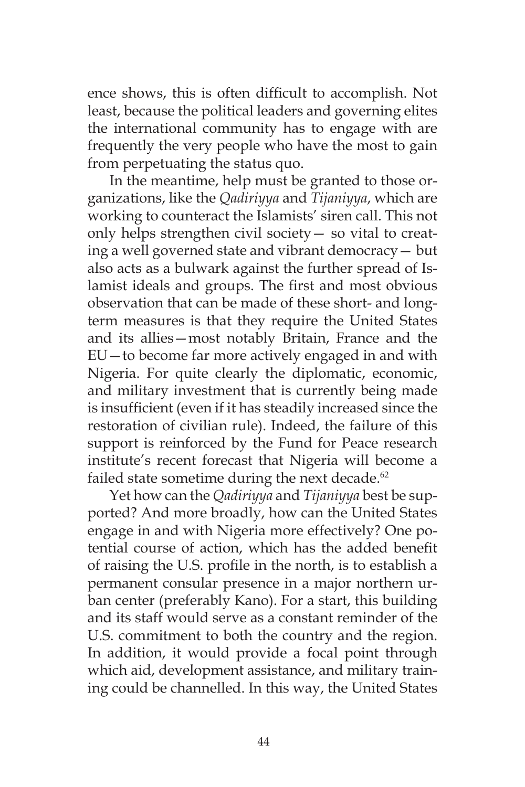ence shows, this is often difficult to accomplish. Not least, because the political leaders and governing elites the international community has to engage with are frequently the very people who have the most to gain from perpetuating the status quo.

In the meantime, help must be granted to those organizations, like the *Qadiriyya* and *Tijaniyya*, which are working to counteract the Islamists' siren call. This not only helps strengthen civil society— so vital to creating a well governed state and vibrant democracy— but also acts as a bulwark against the further spread of Islamist ideals and groups. The first and most obvious observation that can be made of these short- and longterm measures is that they require the United States and its allies—most notably Britain, France and the EU—to become far more actively engaged in and with Nigeria. For quite clearly the diplomatic, economic, and military investment that is currently being made is insufficient (even if it has steadily increased since the restoration of civilian rule). Indeed, the failure of this support is reinforced by the Fund for Peace research institute's recent forecast that Nigeria will become a failed state sometime during the next decade.<sup>62</sup>

Yet how can the *Qadiriyya* and *Tijaniyya* best be supported? And more broadly, how can the United States engage in and with Nigeria more effectively? One potential course of action, which has the added benefit of raising the U.S. profile in the north, is to establish a permanent consular presence in a major northern urban center (preferably Kano). For a start, this building and its staff would serve as a constant reminder of the U.S. commitment to both the country and the region. In addition, it would provide a focal point through which aid, development assistance, and military training could be channelled. In this way, the United States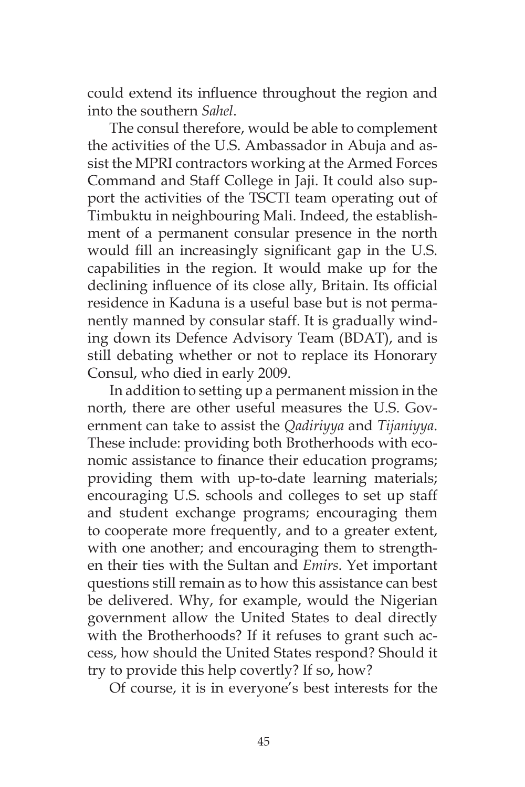could extend its influence throughout the region and into the southern *Sahel*.

The consul therefore, would be able to complement the activities of the U.S. Ambassador in Abuja and assist the MPRI contractors working at the Armed Forces Command and Staff College in Jaji. It could also support the activities of the TSCTI team operating out of Timbuktu in neighbouring Mali. Indeed, the establishment of a permanent consular presence in the north would fill an increasingly significant gap in the U.S. capabilities in the region. It would make up for the declining influence of its close ally, Britain. Its official residence in Kaduna is a useful base but is not permanently manned by consular staff. It is gradually winding down its Defence Advisory Team (BDAT), and is still debating whether or not to replace its Honorary Consul, who died in early 2009.

In addition to setting up a permanent mission in the north, there are other useful measures the U.S. Government can take to assist the *Qadiriyya* and *Tijaniyya*. These include: providing both Brotherhoods with economic assistance to finance their education programs; providing them with up-to-date learning materials; encouraging U.S. schools and colleges to set up staff and student exchange programs; encouraging them to cooperate more frequently, and to a greater extent, with one another; and encouraging them to strengthen their ties with the Sultan and *Emirs*. Yet important questions still remain as to how this assistance can best be delivered. Why, for example, would the Nigerian government allow the United States to deal directly with the Brotherhoods? If it refuses to grant such access, how should the United States respond? Should it try to provide this help covertly? If so, how?

Of course, it is in everyone's best interests for the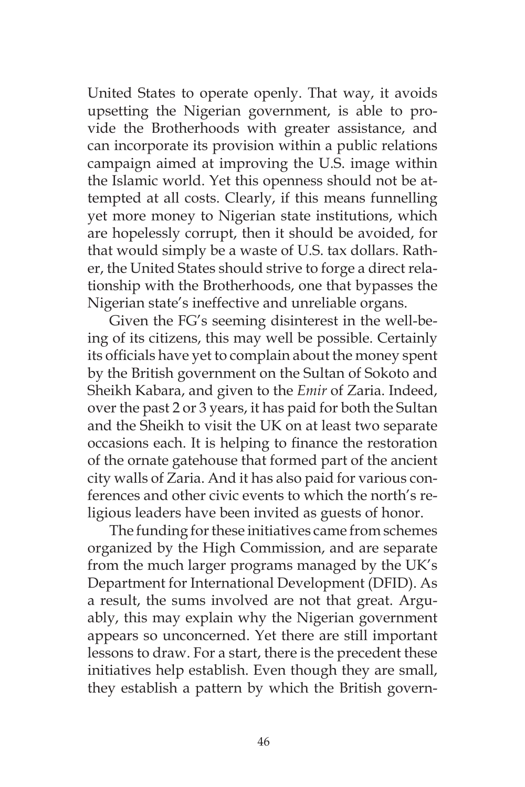United States to operate openly. That way, it avoids upsetting the Nigerian government, is able to provide the Brotherhoods with greater assistance, and can incorporate its provision within a public relations campaign aimed at improving the U.S. image within the Islamic world. Yet this openness should not be attempted at all costs. Clearly, if this means funnelling yet more money to Nigerian state institutions, which are hopelessly corrupt, then it should be avoided, for that would simply be a waste of U.S. tax dollars. Rather, the United States should strive to forge a direct relationship with the Brotherhoods, one that bypasses the Nigerian state's ineffective and unreliable organs.

Given the FG's seeming disinterest in the well-being of its citizens, this may well be possible. Certainly its officials have yet to complain about the money spent by the British government on the Sultan of Sokoto and Sheikh Kabara, and given to the *Emir* of Zaria. Indeed, over the past 2 or 3 years, it has paid for both the Sultan and the Sheikh to visit the UK on at least two separate occasions each. It is helping to finance the restoration of the ornate gatehouse that formed part of the ancient city walls of Zaria. And it has also paid for various conferences and other civic events to which the north's religious leaders have been invited as guests of honor.

The funding for these initiatives came from schemes organized by the High Commission, and are separate from the much larger programs managed by the UK's Department for International Development (DFID). As a result, the sums involved are not that great. Arguably, this may explain why the Nigerian government appears so unconcerned. Yet there are still important lessons to draw. For a start, there is the precedent these initiatives help establish. Even though they are small, they establish a pattern by which the British govern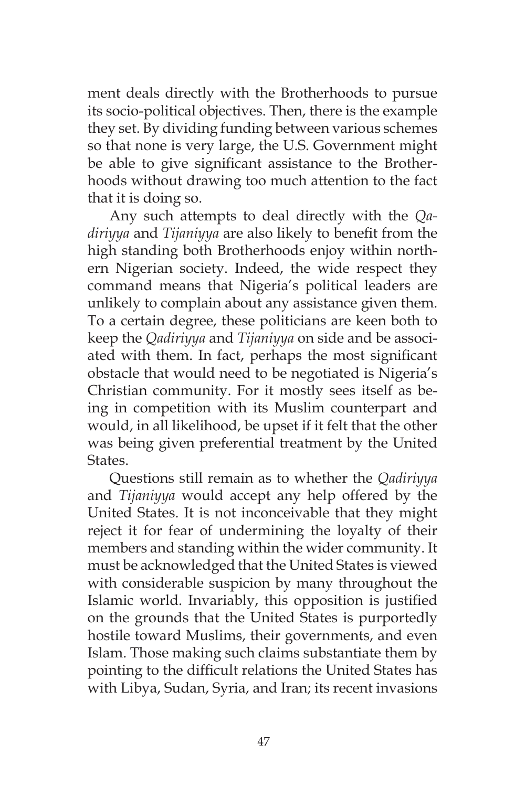ment deals directly with the Brotherhoods to pursue its socio-political objectives. Then, there is the example they set. By dividing funding between various schemes so that none is very large, the U.S. Government might be able to give significant assistance to the Brotherhoods without drawing too much attention to the fact that it is doing so.

Any such attempts to deal directly with the *Qadiriyya* and *Tijaniyya* are also likely to benefit from the high standing both Brotherhoods enjoy within northern Nigerian society. Indeed, the wide respect they command means that Nigeria's political leaders are unlikely to complain about any assistance given them. To a certain degree, these politicians are keen both to keep the *Qadiriyya* and *Tijaniyya* on side and be associated with them. In fact, perhaps the most significant obstacle that would need to be negotiated is Nigeria's Christian community. For it mostly sees itself as being in competition with its Muslim counterpart and would, in all likelihood, be upset if it felt that the other was being given preferential treatment by the United States.

Questions still remain as to whether the *Qadiriyya* and *Tijaniyya* would accept any help offered by the United States. It is not inconceivable that they might reject it for fear of undermining the loyalty of their members and standing within the wider community. It must be acknowledged that the United States is viewed with considerable suspicion by many throughout the Islamic world. Invariably, this opposition is justified on the grounds that the United States is purportedly hostile toward Muslims, their governments, and even Islam. Those making such claims substantiate them by pointing to the difficult relations the United States has with Libya, Sudan, Syria, and Iran; its recent invasions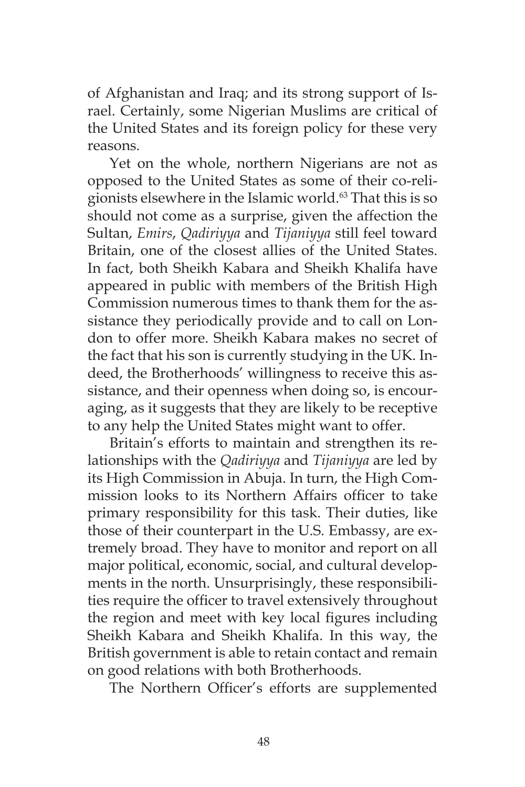of Afghanistan and Iraq; and its strong support of Israel. Certainly, some Nigerian Muslims are critical of the United States and its foreign policy for these very reasons.

Yet on the whole, northern Nigerians are not as opposed to the United States as some of their co-religionists elsewhere in the Islamic world.<sup>63</sup> That this is so should not come as a surprise, given the affection the Sultan, *Emirs*, *Qadiriyya* and *Tijaniyya* still feel toward Britain, one of the closest allies of the United States. In fact, both Sheikh Kabara and Sheikh Khalifa have appeared in public with members of the British High Commission numerous times to thank them for the assistance they periodically provide and to call on London to offer more. Sheikh Kabara makes no secret of the fact that his son is currently studying in the UK. Indeed, the Brotherhoods' willingness to receive this assistance, and their openness when doing so, is encouraging, as it suggests that they are likely to be receptive to any help the United States might want to offer.

Britain's efforts to maintain and strengthen its relationships with the *Qadiriyya* and *Tijaniyya* are led by its High Commission in Abuja. In turn, the High Commission looks to its Northern Affairs officer to take primary responsibility for this task. Their duties, like those of their counterpart in the U.S. Embassy, are extremely broad. They have to monitor and report on all major political, economic, social, and cultural developments in the north. Unsurprisingly, these responsibilities require the officer to travel extensively throughout the region and meet with key local figures including Sheikh Kabara and Sheikh Khalifa. In this way, the British government is able to retain contact and remain on good relations with both Brotherhoods.

The Northern Officer's efforts are supplemented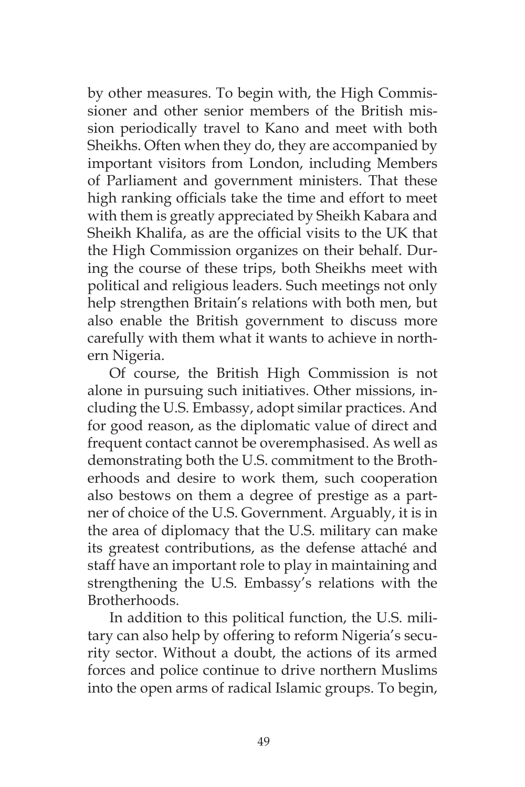by other measures. To begin with, the High Commissioner and other senior members of the British mission periodically travel to Kano and meet with both Sheikhs. Often when they do, they are accompanied by important visitors from London, including Members of Parliament and government ministers. That these high ranking officials take the time and effort to meet with them is greatly appreciated by Sheikh Kabara and Sheikh Khalifa, as are the official visits to the UK that the High Commission organizes on their behalf. During the course of these trips, both Sheikhs meet with political and religious leaders. Such meetings not only help strengthen Britain's relations with both men, but also enable the British government to discuss more carefully with them what it wants to achieve in northern Nigeria.

Of course, the British High Commission is not alone in pursuing such initiatives. Other missions, including the U.S. Embassy, adopt similar practices. And for good reason, as the diplomatic value of direct and frequent contact cannot be overemphasised. As well as demonstrating both the U.S. commitment to the Brotherhoods and desire to work them, such cooperation also bestows on them a degree of prestige as a partner of choice of the U.S. Government. Arguably, it is in the area of diplomacy that the U.S. military can make its greatest contributions, as the defense attaché and staff have an important role to play in maintaining and strengthening the U.S. Embassy's relations with the Brotherhoods.

In addition to this political function, the U.S. military can also help by offering to reform Nigeria's security sector. Without a doubt, the actions of its armed forces and police continue to drive northern Muslims into the open arms of radical Islamic groups. To begin,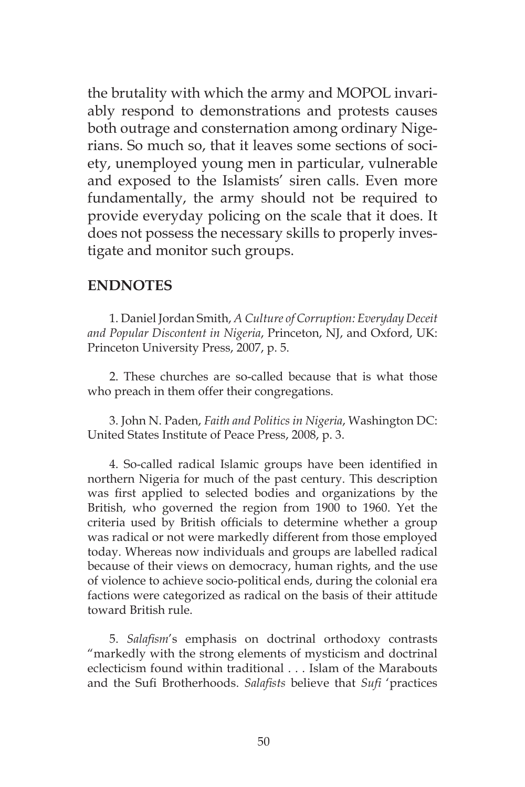the brutality with which the army and MOPOL invariably respond to demonstrations and protests causes both outrage and consternation among ordinary Nigerians. So much so, that it leaves some sections of society, unemployed young men in particular, vulnerable and exposed to the Islamists' siren calls. Even more fundamentally, the army should not be required to provide everyday policing on the scale that it does. It does not possess the necessary skills to properly investigate and monitor such groups.

### **ENDNOTES**

1. Daniel Jordan Smith, *A Culture of Corruption: Everyday Deceit and Popular Discontent in Nigeria*, Princeton, NJ, and Oxford, UK: Princeton University Press, 2007, p. 5.

2. These churches are so-called because that is what those who preach in them offer their congregations.

3. John N. Paden, *Faith and Politics in Nigeria*, Washington DC: United States Institute of Peace Press, 2008, p. 3.

4. So-called radical Islamic groups have been identified in northern Nigeria for much of the past century. This description was first applied to selected bodies and organizations by the British, who governed the region from 1900 to 1960. Yet the criteria used by British officials to determine whether a group was radical or not were markedly different from those employed today. Whereas now individuals and groups are labelled radical because of their views on democracy, human rights, and the use of violence to achieve socio-political ends, during the colonial era factions were categorized as radical on the basis of their attitude toward British rule.

5. *Salafism*'s emphasis on doctrinal orthodoxy contrasts "markedly with the strong elements of mysticism and doctrinal eclecticism found within traditional . . . Islam of the Marabouts and the Sufi Brotherhoods. *Salafists* believe that *Sufi* 'practices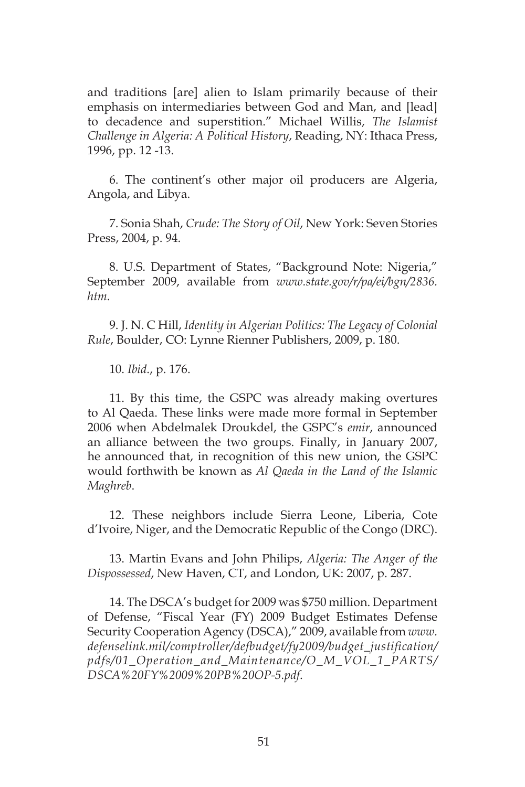and traditions [are] alien to Islam primarily because of their emphasis on intermediaries between God and Man, and [lead] to decadence and superstition." Michael Willis, *The Islamist Challenge in Algeria: A Political History*, Reading, NY: Ithaca Press, 1996, pp. 12 -13.

6. The continent's other major oil producers are Algeria, Angola, and Libya.

7. Sonia Shah, *Crude: The Story of Oil*, New York: Seven Stories Press, 2004, p. 94.

8. U.S. Department of States, "Background Note: Nigeria," September 2009, available from *www.state.gov/r/pa/ei/bgn/2836. htm*.

9. J. N. C Hill, *Identity in Algerian Politics: The Legacy of Colonial Rule*, Boulder, CO: Lynne Rienner Publishers, 2009, p. 180.

10. *Ibid*., p. 176.

11. By this time, the GSPC was already making overtures to Al Qaeda. These links were made more formal in September 2006 when Abdelmalek Droukdel, the GSPC's *emir*, announced an alliance between the two groups. Finally, in January 2007, he announced that, in recognition of this new union, the GSPC would forthwith be known as *Al Qaeda in the Land of the Islamic Maghreb*.

12. These neighbors include Sierra Leone, Liberia, Cote d'Ivoire, Niger, and the Democratic Republic of the Congo (DRC).

13. Martin Evans and John Philips, *Algeria: The Anger of the Dispossessed*, New Haven, CT, and London, UK: 2007, p. 287.

14. The DSCA's budget for 2009 was \$750 million. Department of Defense, "Fiscal Year (FY) 2009 Budget Estimates Defense Security Cooperation Agency (DSCA)," 2009, available from *www. defenselink.mil/comptroller/defbudget/fy2009/budget\_justification/ pdfs/01\_Operation\_and\_Maintenance/O\_M\_VOL\_1\_PARTS/ DSCA%20FY%2009%20PB%20OP-5.pdf*.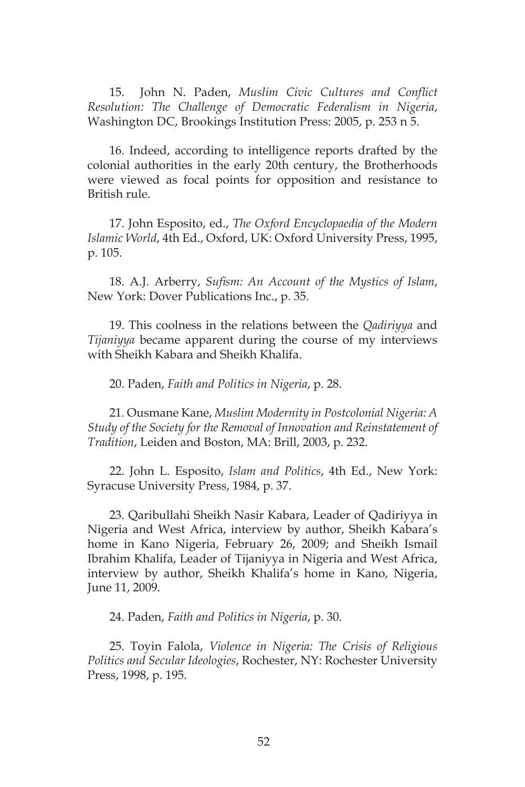15. John N. Paden, *Muslim Civic Cultures and Conflict Resolution: The Challenge of Democratic Federalism in Nigeria*, Washington DC, Brookings Institution Press: 2005, p. 253 n 5.

16. Indeed, according to intelligence reports drafted by the colonial authorities in the early 20th century, the Brotherhoods were viewed as focal points for opposition and resistance to British rule.

17. John Esposito, ed., *The Oxford Encyclopaedia of the Modern Islamic World*, 4th Ed., Oxford, UK: Oxford University Press, 1995, p. 105.

18. A.J. Arberry, *Sufism: An Account of the Mystics of Islam*, New York: Dover Publications Inc., p. 35.

19. This coolness in the relations between the *Qadiriyya* and *Tijaniyya* became apparent during the course of my interviews with Sheikh Kabara and Sheikh Khalifa.

20. Paden, *Faith and Politics in Nigeria*, p. 28.

21. Ousmane Kane, *Muslim Modernity in Postcolonial Nigeria: A Study of the Society for the Removal of Innovation and Reinstatement of Tradition*, Leiden and Boston, MA: Brill, 2003, p. 232.

22. John L. Esposito, *Islam and Politics*, 4th Ed., New York: Syracuse University Press, 1984, p. 37.

23. Qaribullahi Sheikh Nasir Kabara, Leader of Qadiriyya in Nigeria and West Africa, interview by author, Sheikh Kabara's home in Kano Nigeria, February 26, 2009; and Sheikh Ismail Ibrahim Khalifa, Leader of Tijaniyya in Nigeria and West Africa, interview by author, Sheikh Khalifa's home in Kano, Nigeria, June 11, 2009.

24. Paden, *Faith and Politics in Nigeria*, p. 30.

25. Toyin Falola, *Violence in Nigeria: The Crisis of Religious Politics and Secular Ideologies*, Rochester, NY: Rochester University Press, 1998, p. 195.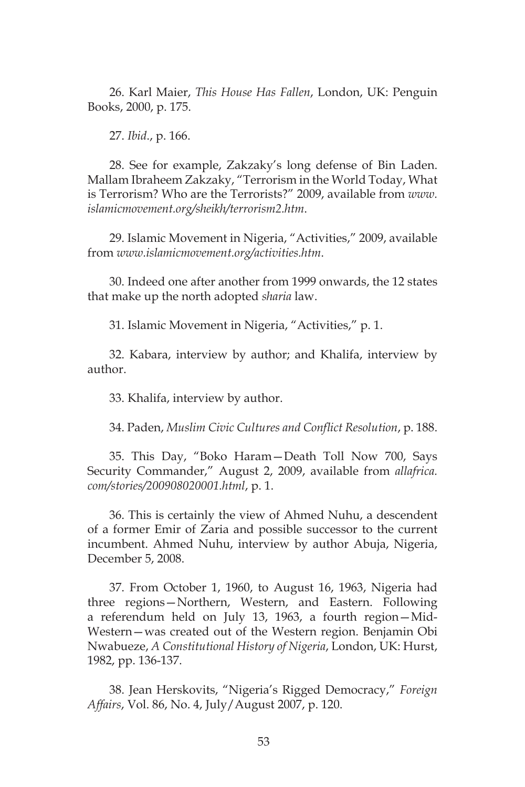26. Karl Maier, *This House Has Fallen*, London, UK: Penguin Books, 2000, p. 175.

27. *Ibid*., p. 166.

28. See for example, Zakzaky's long defense of Bin Laden. Mallam Ibraheem Zakzaky, "Terrorism in the World Today, What is Terrorism? Who are the Terrorists?" 2009, available from *www. islamicmovement.org/sheikh/terrorism2.htm*.

29. Islamic Movement in Nigeria, "Activities," 2009, available from *www.islamicmovement.org/activities.htm*.

30. Indeed one after another from 1999 onwards, the 12 states that make up the north adopted *sharia* law.

31. Islamic Movement in Nigeria, "Activities," p. 1.

32. Kabara, interview by author; and Khalifa, interview by author.

33. Khalifa, interview by author.

34. Paden, *Muslim Civic Cultures and Conflict Resolution*, p. 188.

35. This Day, "Boko Haram—Death Toll Now 700, Says Security Commander," August 2, 2009, available from *allafrica. com/stories/200908020001.html*, p. 1.

36. This is certainly the view of Ahmed Nuhu, a descendent of a former Emir of Zaria and possible successor to the current incumbent. Ahmed Nuhu, interview by author Abuja, Nigeria, December 5, 2008.

37. From October 1, 1960, to August 16, 1963, Nigeria had three regions—Northern, Western, and Eastern. Following a referendum held on July 13, 1963, a fourth region—Mid-Western—was created out of the Western region. Benjamin Obi Nwabueze, *A Constitutional History of Nigeria*, London, UK: Hurst, 1982, pp. 136-137.

38. Jean Herskovits, "Nigeria's Rigged Democracy," *Foreign Affairs*, Vol. 86, No. 4, July/August 2007, p. 120.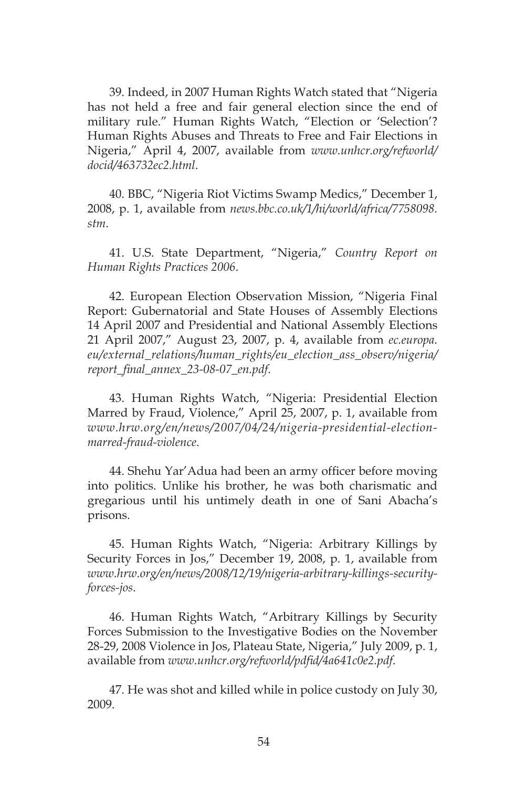39. Indeed, in 2007 Human Rights Watch stated that "Nigeria has not held a free and fair general election since the end of military rule." Human Rights Watch, "Election or 'Selection'? Human Rights Abuses and Threats to Free and Fair Elections in Nigeria," April 4, 2007, available from *www.unhcr.org/refworld/ docid/463732ec2.html*.

40. BBC, "Nigeria Riot Victims Swamp Medics," December 1, 2008, p. 1, available from *news.bbc.co.uk/1/hi/world/africa/7758098. stm*.

41. U.S. State Department, "Nigeria," *Country Report on Human Rights Practices 2006*.

42. European Election Observation Mission, "Nigeria Final Report: Gubernatorial and State Houses of Assembly Elections 14 April 2007 and Presidential and National Assembly Elections 21 April 2007," August 23, 2007, p. 4, available from *ec.europa. eu/external\_relations/human\_rights/eu\_election\_ass\_observ/nigeria/ report\_final\_annex\_23-08-07\_en.pdf*.

43. Human Rights Watch, "Nigeria: Presidential Election Marred by Fraud, Violence," April 25, 2007, p. 1, available from *www.hrw.org/en/news/2007/04/24/nigeria-presidential-electionmarred-fraud-violence*.

44. Shehu Yar'Adua had been an army officer before moving into politics. Unlike his brother, he was both charismatic and gregarious until his untimely death in one of Sani Abacha's prisons.

45. Human Rights Watch, "Nigeria: Arbitrary Killings by Security Forces in Jos," December 19, 2008, p. 1, available from *www.hrw.org/en/news/2008/12/19/nigeria-arbitrary-killings-securityforces-jos*.

46. Human Rights Watch, "Arbitrary Killings by Security Forces Submission to the Investigative Bodies on the November 28-29, 2008 Violence in Jos, Plateau State, Nigeria," July 2009, p. 1, available from *www.unhcr.org/refworld/pdfid/4a641c0e2.pdf*.

47. He was shot and killed while in police custody on July 30, 2009.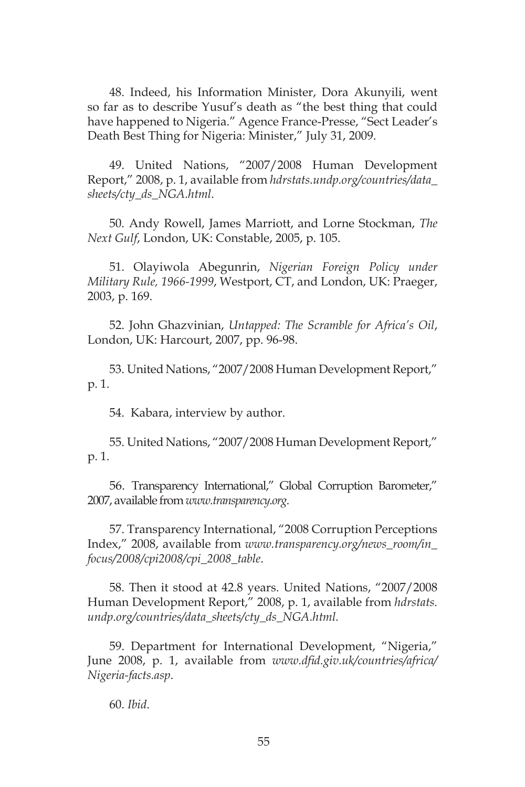48. Indeed, his Information Minister, Dora Akunyili, went so far as to describe Yusuf's death as "the best thing that could have happened to Nigeria." Agence France-Presse, "Sect Leader's Death Best Thing for Nigeria: Minister," July 31, 2009.

49. United Nations, "2007/2008 Human Development Report," 2008, p. 1, available from *hdrstats.undp.org/countries/data\_ sheets/cty\_ds\_NGA.html*.

50. Andy Rowell, James Marriott, and Lorne Stockman, *The Next Gulf*, London, UK: Constable, 2005, p. 105.

51. Olayiwola Abegunrin, *Nigerian Foreign Policy under Military Rule, 1966-1999*, Westport, CT, and London, UK: Praeger, 2003, p. 169.

52. John Ghazvinian, *Untapped: The Scramble for Africa's Oil*, London, UK: Harcourt, 2007, pp. 96-98.

53. United Nations, "2007/2008 Human Development Report," p. 1.

54. Kabara, interview by author.

55. United Nations, "2007/2008 Human Development Report," p. 1.

56. Transparency International," Global Corruption Barometer," 2007, available from *www.transparency.org*.

57. Transparency International, "2008 Corruption Perceptions Index," 2008, available from *www.transparency.org/news\_room/in\_ focus/2008/cpi2008/cpi\_2008\_table*.

58. Then it stood at 42.8 years. United Nations, "2007/2008 Human Development Report," 2008, p. 1, available from *hdrstats. undp.org/countries/data\_sheets/cty\_ds\_NGA.html.*

59. Department for International Development, "Nigeria," June 2008, p. 1, available from *www.dfid.giv.uk/countries/africa/ Nigeria-facts.asp*.

60. *Ibid*.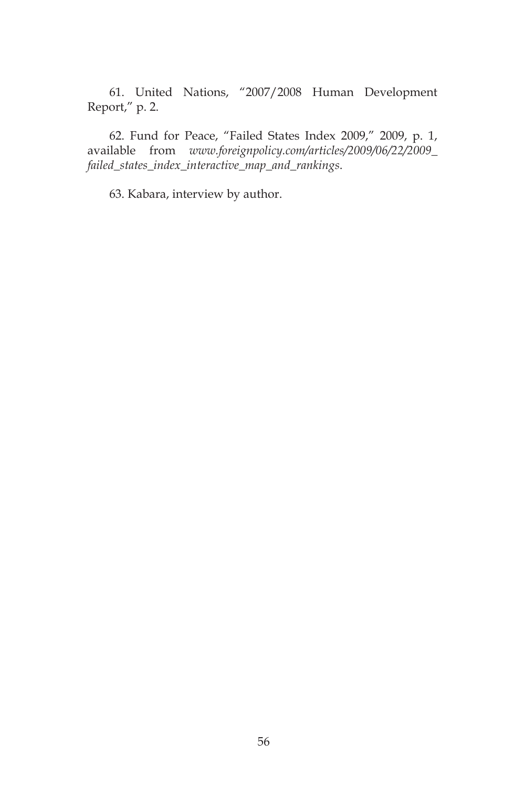61. United Nations, "2007/2008 Human Development Report," p. 2.

62. Fund for Peace, "Failed States Index 2009," 2009, p. 1, available from *www.foreignpolicy.com/articles/2009/06/22/2009\_ failed\_states\_index\_interactive\_map\_and\_rankings*.

63. Kabara, interview by author.